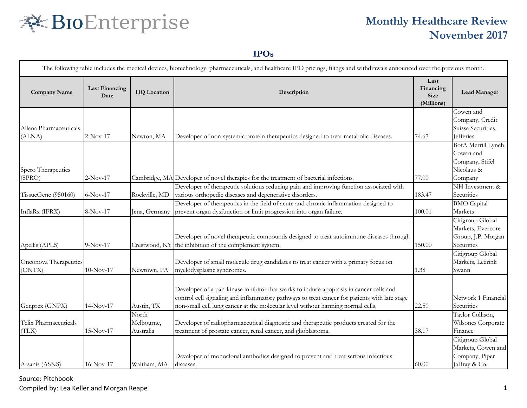# 秦 BIoEnterprise

# **Monthly Healthcare Review November 2017**

#### **IPOs**

|                        |                               |                    | The following table includes the medical devices, biotechnology, pharmaceuticals, and healthcare IPO pricings, filings and withdrawals announced over the previous month.               |                                                |                                       |
|------------------------|-------------------------------|--------------------|-----------------------------------------------------------------------------------------------------------------------------------------------------------------------------------------|------------------------------------------------|---------------------------------------|
| <b>Company Name</b>    | <b>Last Financing</b><br>Date | <b>HQ</b> Location | Description                                                                                                                                                                             | Last<br>Financing<br><b>Size</b><br>(Millions) | Lead Manager                          |
|                        |                               |                    |                                                                                                                                                                                         |                                                | Cowen and                             |
| Allena Pharmaceuticals |                               |                    |                                                                                                                                                                                         |                                                | Company, Credit<br>Suisse Securities, |
| (ALNA)                 | $2-Nov-17$                    | Newton, MA         | Developer of non-systemic protein therapeutics designed to treat metabolic diseases.                                                                                                    | 74.67                                          | <b>Jefferies</b>                      |
|                        |                               |                    |                                                                                                                                                                                         |                                                | BofA Merrill Lynch,                   |
|                        |                               |                    |                                                                                                                                                                                         |                                                | Cowen and                             |
|                        |                               |                    |                                                                                                                                                                                         |                                                | Company, Stifel                       |
| Spero Therapeutics     |                               |                    |                                                                                                                                                                                         |                                                | Nicolaus &                            |
| (SPRO)                 | $2-Nov-17$                    |                    | Cambridge, MA Developer of novel therapies for the treatment of bacterial infections.                                                                                                   | 77.00                                          | Company                               |
|                        |                               |                    | Developer of therapeutic solutions reducing pain and improving function associated with                                                                                                 |                                                | NH Investment &                       |
| TissueGene (950160)    | $6-Nov-17$                    | Rockville, MD      | various orthopedic diseases and degenerative disorders.                                                                                                                                 | 183.47                                         | Securities                            |
|                        |                               |                    | Developer of therapeutics in the field of acute and chronic inflammation designed to                                                                                                    |                                                | <b>BMO</b> Capital                    |
| InflaRx (IFRX)         | 8-Nov-17                      | Jena, Germany      | prevent organ dysfunction or limit progression into organ failure.                                                                                                                      | 100.01                                         | Markets                               |
|                        |                               |                    |                                                                                                                                                                                         |                                                | Citigroup Global                      |
|                        |                               |                    |                                                                                                                                                                                         |                                                | Markets, Evercore                     |
|                        |                               |                    | Developer of novel therapeutic compounds designed to treat autoimmune diseases through                                                                                                  |                                                | Group, J.P. Morgan                    |
| Apellis (APLS)         | $9-Nov-17$                    | Crestwood, KY      | the inhibition of the complement system.                                                                                                                                                | 150.00                                         | Securities                            |
| Onconova Therapeutics  |                               |                    | Developer of small molecule drug candidates to treat cancer with a primary focus on                                                                                                     |                                                | Citigroup Global<br>Markets, Leerink  |
| (ONTX)                 | $10-Nov-17$                   | Newtown, PA        | myelodysplastic syndromes.                                                                                                                                                              | 1.38                                           | Swann                                 |
|                        |                               |                    |                                                                                                                                                                                         |                                                |                                       |
|                        |                               |                    |                                                                                                                                                                                         |                                                |                                       |
|                        |                               |                    | Developer of a pan-kinase inhibitor that works to induce apoptosis in cancer cells and<br>control cell signaling and inflammatory pathways to treat cancer for patients with late stage |                                                | Network 1 Financial                   |
| Genprex (GNPX)         | $14-Nov-17$                   | Austin, TX         | non-small cell lung cancer at the molecular level without harming normal cells.                                                                                                         | 22.50                                          | Securities                            |
|                        |                               | North              |                                                                                                                                                                                         |                                                | Taylor Collison,                      |
| Telix Pharmaceuticals  |                               | Melbourne,         | Developer of radiopharmaceutical diagnostic and therapeutic products created for the                                                                                                    |                                                | Wilsoncs Corporate                    |
| (TLX)                  | $15-Nov-17$                   | Australia          | treatment of prostate cancer, renal cancer, and glioblastoma.                                                                                                                           | 38.17                                          | Finance                               |
|                        |                               |                    |                                                                                                                                                                                         |                                                | Citigroup Global                      |
|                        |                               |                    |                                                                                                                                                                                         |                                                | Markets, Cowen and                    |
|                        |                               |                    | Developer of monoclonal antibodies designed to prevent and treat serious infectious                                                                                                     |                                                | Company, Piper                        |
| Arsanis (ASNS)         | $16-Nov-17$                   | Waltham, MA        | diseases.                                                                                                                                                                               | 60.00                                          | Jaffray & Co.                         |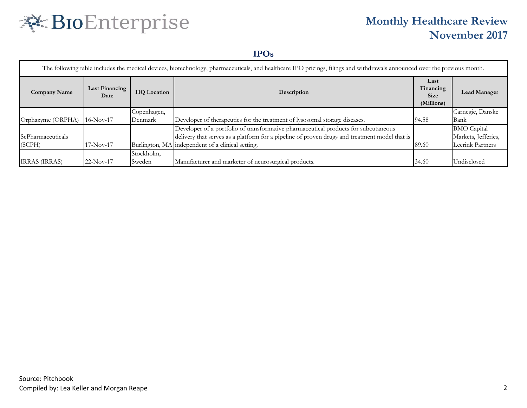# 秦 BIoEnterprise

# **Monthly Healthcare Review November 2017**

#### **IPOs**

| The following table includes the medical devices, biotechnology, pharmaceuticals, and healthcare IPO pricings, filings and withdrawals announced over the previous month. |                        |                    |                                                                                               |                                                |                     |  |  |  |  |
|---------------------------------------------------------------------------------------------------------------------------------------------------------------------------|------------------------|--------------------|-----------------------------------------------------------------------------------------------|------------------------------------------------|---------------------|--|--|--|--|
| <b>Company Name</b>                                                                                                                                                       | Last Financing<br>Date | <b>HQ</b> Location | Description                                                                                   | Last<br>Financing<br><b>Size</b><br>(Millions) | <b>Lead Manager</b> |  |  |  |  |
|                                                                                                                                                                           |                        | Copenhagen,        |                                                                                               |                                                | Carnegie, Danske    |  |  |  |  |
| Orphazyme (ORPHA)                                                                                                                                                         | $16-Nov-17$            | Denmark            | Developer of therapeutics for the treatment of lysosomal storage diseases.                    | 94.58                                          | Bank                |  |  |  |  |
|                                                                                                                                                                           |                        |                    | Developer of a portfolio of transformative pharmaceutical products for subcutaneous           |                                                | <b>BMO</b> Capital  |  |  |  |  |
| ScPharmaceuticals                                                                                                                                                         |                        |                    | delivery that serves as a platform for a pipeline of proven drugs and treatment model that is |                                                | Markets, Jefferies, |  |  |  |  |
| (SCPH)                                                                                                                                                                    | $17-Nov-17$            |                    | Burlington, MA independent of a clinical setting.                                             | 89.60                                          | Leerink Partners    |  |  |  |  |
|                                                                                                                                                                           |                        | Stockholm,         |                                                                                               |                                                |                     |  |  |  |  |
| <b>IRRAS</b> <i>(IRRAS)</i>                                                                                                                                               | $22-Nov-17$            | Sweden             | Manufacturer and marketer of neurosurgical products.                                          | 34.60                                          | Undisclosed         |  |  |  |  |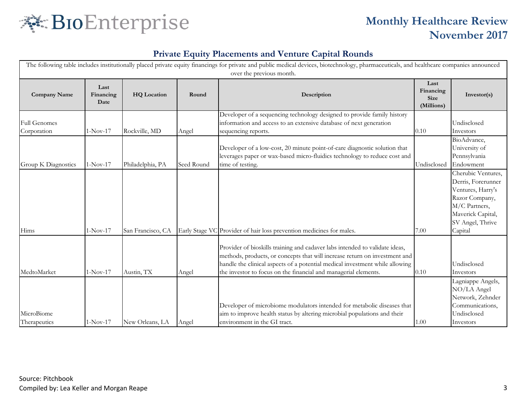

| The following table includes institutionally placed private equity financings for private and public medical devices, biotechnology, pharmaceuticals, and healthcare companies announced<br>over the previous month. |                           |                    |            |                                                                                                                                                                                                                                                                                                              |                                                |                                                                                                                                                      |  |
|----------------------------------------------------------------------------------------------------------------------------------------------------------------------------------------------------------------------|---------------------------|--------------------|------------|--------------------------------------------------------------------------------------------------------------------------------------------------------------------------------------------------------------------------------------------------------------------------------------------------------------|------------------------------------------------|------------------------------------------------------------------------------------------------------------------------------------------------------|--|
| <b>Company Name</b>                                                                                                                                                                                                  | Last<br>Financing<br>Date | <b>HQ</b> Location | Round      | Description                                                                                                                                                                                                                                                                                                  | Last<br>Financing<br><b>Size</b><br>(Millions) | Investor(s)                                                                                                                                          |  |
| <b>Full Genomes</b><br>Corporation                                                                                                                                                                                   | $1-Nov-17$                | Rockville, MD      | Angel      | Developer of a sequencing technology designed to provide family history<br>information and access to an extensive database of next generation<br>sequencing reports.                                                                                                                                         | $0.10\,$                                       | Undisclosed<br>Investors                                                                                                                             |  |
| Group K Diagnostics                                                                                                                                                                                                  | $1-Nov-17$                | Philadelphia, PA   | Seed Round | Developer of a low-cost, 20 minute point-of-care diagnostic solution that<br>leverages paper or wax-based micro-fluidics technology to reduce cost and<br>time of testing.                                                                                                                                   | Undisclosed                                    | BioAdvance,<br>University of<br>Pennsylvania<br>Endowment                                                                                            |  |
| Hims                                                                                                                                                                                                                 | $1-Nov-17$                | San Francisco, CA  |            | Early Stage VC Provider of hair loss prevention medicines for males.                                                                                                                                                                                                                                         | 7.00                                           | Cherubic Ventures,<br>Derris, Forerunner<br>Ventures, Harry's<br>Razor Company,<br>M/C Partners,<br>Maverick Capital,<br>SV Angel, Thrive<br>Capital |  |
| MedtoMarket                                                                                                                                                                                                          | $1-Nov-17$                | Austin, TX         | Angel      | Provider of bioskills training and cadaver labs intended to validate ideas,<br>methods, products, or concepts that will increase return on investment and<br>handle the clinical aspects of a potential medical investment while allowing<br>the investor to focus on the financial and managerial elements. | 0.10                                           | Undisclosed<br>Investors                                                                                                                             |  |
| MicroBiome<br>Therapeutics                                                                                                                                                                                           | $1-Nov-17$                | New Orleans, LA    | Angel      | Developer of microbiome modulators intended for metabolic diseases that<br>aim to improve health status by altering microbial populations and their<br>environment in the GI tract.                                                                                                                          | 1.00                                           | Lagniappe Angels,<br>NO/LA Angel<br>Network, Zehnder<br>Communications,<br>Undisclosed<br>Investors                                                  |  |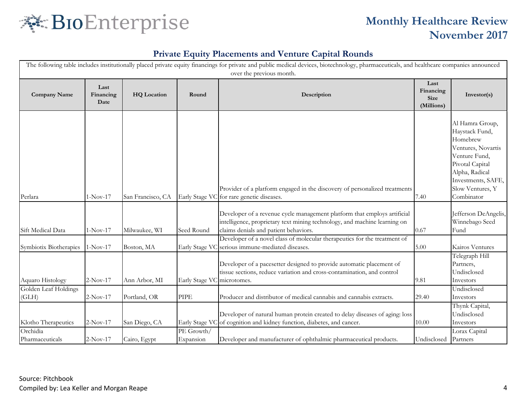

|                               |                           |                    |                            | The following table includes institutionally placed private equity financings for private and public medical devices, biotechnology, pharmaceuticals, and healthcare companies announced<br>over the previous month. |                                                |                                                                                                                                                                                   |
|-------------------------------|---------------------------|--------------------|----------------------------|----------------------------------------------------------------------------------------------------------------------------------------------------------------------------------------------------------------------|------------------------------------------------|-----------------------------------------------------------------------------------------------------------------------------------------------------------------------------------|
| <b>Company Name</b>           | Last<br>Financing<br>Date | <b>HQ</b> Location | Round                      | Description                                                                                                                                                                                                          | Last<br>Financing<br><b>Size</b><br>(Millions) | Investor(s)                                                                                                                                                                       |
| Perlara                       | $1-Nov-17$                | San Francisco, CA  |                            | Provider of a platform engaged in the discovery of personalized treatments<br>Early Stage VC for rare genetic diseases.                                                                                              | 7.40                                           | Al Hamra Group,<br>Haystack Fund,<br>Homebrew<br>Ventures, Novartis<br>Venture Fund,<br>Pivotal Capital<br>Alpha, Radical<br>Investments, SAFE,<br>Slow Ventures, Y<br>Combinator |
| Sift Medical Data             | $1-Nov-17$                | Milwaukee, WI      | Seed Round                 | Developer of a revenue cycle management platform that employs artificial<br>intelligence, proprietary text mining technology, and machine learning on<br>claims denials and patient behaviors.                       | 0.67                                           | Jefferson DeAngelis,<br>Winnebago Seed<br>Fund                                                                                                                                    |
| Symbiotix Biotherapies        | $1-Nov-17$                | Boston, MA         |                            | Developer of a novel class of molecular therapeutics for the treatment of<br>Early Stage VC serious immune-mediated diseases.                                                                                        | 5.00                                           | Kairos Ventures                                                                                                                                                                   |
| Aquaro Histology              | $2-Nov-17$                | Ann Arbor, MI      | Early Stage VC microtomes. | Developer of a pacesetter designed to provide automatic placement of<br>tissue sections, reduce variation and cross-contamination, and control                                                                       | 9.81                                           | Telegraph Hill<br>Partners,<br>Undisclosed<br>Investors                                                                                                                           |
| Golden Leaf Holdings<br>(GLH) | $2-Nov-17$                | Portland, OR       | <b>PIPE</b>                | Producer and distributor of medical cannabis and cannabis extracts.                                                                                                                                                  | 29.40                                          | Undisclosed<br>Investors                                                                                                                                                          |
| Klotho Therapeutics           | $2-Nov-17$                | San Diego, CA      |                            | Developer of natural human protein created to delay diseases of aging: loss<br>Early Stage VC of cognition and kidney function, diabetes, and cancer.                                                                | 10.00                                          | Thynk Capital,<br>Undisclosed<br>Investors                                                                                                                                        |
| Orchidia<br>Pharmaceuticals   | $2-Nov-17$                | Cairo, Egypt       | PE Growth/<br>Expansion    | Developer and manufacturer of ophthalmic pharmaceutical products.                                                                                                                                                    | Undisclosed                                    | Lorax Capital<br>Partners                                                                                                                                                         |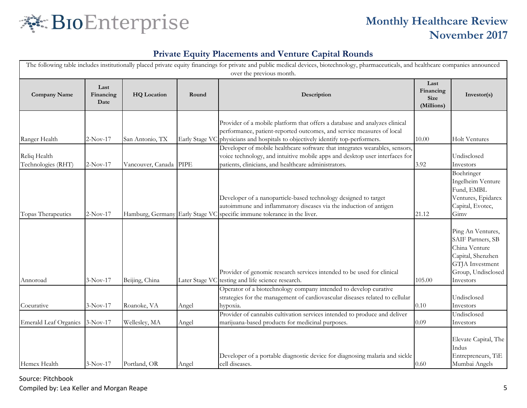

### **Private Equity Placements and Venture Capital Rounds**

|                                    | The following table includes institutionally placed private equity financings for private and public medical devices, biotechnology, pharmaceuticals, and healthcare companies announced<br>over the previous month. |                                 |                |                                                                                                                                                                                                                                        |                                                |                                                                                                                                    |  |  |  |
|------------------------------------|----------------------------------------------------------------------------------------------------------------------------------------------------------------------------------------------------------------------|---------------------------------|----------------|----------------------------------------------------------------------------------------------------------------------------------------------------------------------------------------------------------------------------------------|------------------------------------------------|------------------------------------------------------------------------------------------------------------------------------------|--|--|--|
| <b>Company Name</b>                | Last<br>Financing<br>Date                                                                                                                                                                                            | <b>HQ</b> Location              | Round          | Description                                                                                                                                                                                                                            | Last<br>Financing<br><b>Size</b><br>(Millions) | Investor(s)                                                                                                                        |  |  |  |
| Ranger Health                      | $2-Nov-17$                                                                                                                                                                                                           | San Antonio, TX                 |                | Provider of a mobile platform that offers a database and analyzes clinical<br>performance, patient-reported outcomes, and service measures of local<br>Early Stage VC physicians and hospitals to objectively identify top-performers. | 10.00                                          | <b>Holt Ventures</b>                                                                                                               |  |  |  |
| Reliq Health<br>Technologies (RHT) | $2-Nov-17$                                                                                                                                                                                                           | Vancouver, Canada               | <b>PIPE</b>    | Developer of mobile healthcare software that integrates wearables, sensors,<br>voice technology, and intuitive mobile apps and desktop user interfaces for<br>patients, clinicians, and healthcare administrators.                     | 3.92                                           | Undisclosed<br>Investors                                                                                                           |  |  |  |
| Topas Therapeutics                 | $2-Nov-17$                                                                                                                                                                                                           | Hamburg, Germany Early Stage VC |                | Developer of a nanoparticle-based technology designed to target<br>autoimmune and inflammatory diseases via the induction of antigen<br>specific immune tolerance in the liver.                                                        | 21.12                                          | Boehringer<br>Ingelheim Venture<br>Fund, EMBL<br>Ventures, Epidarex<br>Capital, Evotec,<br>Gimv                                    |  |  |  |
| Annoroad                           | $3-Nov-17$                                                                                                                                                                                                           | Beijing, China                  | Later Stage VC | Provider of genomic research services intended to be used for clinical<br>testing and life science research.                                                                                                                           | 105.00                                         | Ping An Ventures,<br>SAIF Partners, SB<br>China Venture<br>Capital, Shenzhen<br>GTJA Investment<br>Group, Undisclosed<br>Investors |  |  |  |
| Coeurative                         | $3-Nov-17$                                                                                                                                                                                                           | Roanoke, VA                     | Angel          | Operator of a biotechnology company intended to develop curative<br>strategies for the management of cardiovascular diseases related to cellular<br>hypoxia.                                                                           | 0.10                                           | Undisclosed<br>Investors                                                                                                           |  |  |  |
| Emerald Leaf Organics              | $3-Nov-17$                                                                                                                                                                                                           | Wellesley, MA                   | Angel          | Provider of cannabis cultivation services intended to produce and deliver<br>marijuana-based products for medicinal purposes.                                                                                                          | 0.09                                           | Undisclosed<br>Investors                                                                                                           |  |  |  |
| Hemex Health                       | $3-Nov-17$                                                                                                                                                                                                           | Portland, OR                    | Angel          | Developer of a portable diagnostic device for diagnosing malaria and sickle<br>cell diseases.                                                                                                                                          | 0.60                                           | Elevate Capital, The<br>Indus<br>Entrepreneurs, TiE<br>Mumbai Angels                                                               |  |  |  |

Source: Pitchbook

Compiled by: Lea Keller and Morgan Reape 5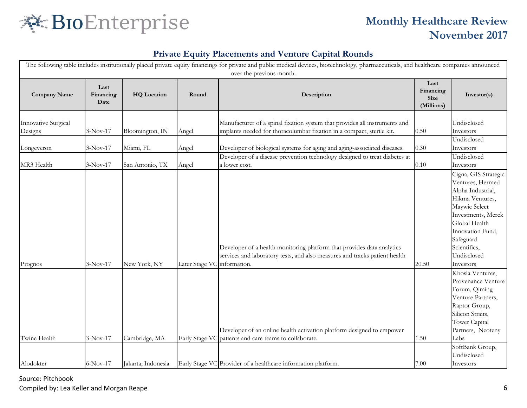

### **Private Equity Placements and Venture Capital Rounds**

|                                       | The following table includes institutionally placed private equity financings for private and public medical devices, biotechnology, pharmaceuticals, and healthcare companies announced<br>over the previous month. |                    |                |                                                                                                                                                                      |                                                |                                                                                                                                                                                                                       |  |  |  |  |
|---------------------------------------|----------------------------------------------------------------------------------------------------------------------------------------------------------------------------------------------------------------------|--------------------|----------------|----------------------------------------------------------------------------------------------------------------------------------------------------------------------|------------------------------------------------|-----------------------------------------------------------------------------------------------------------------------------------------------------------------------------------------------------------------------|--|--|--|--|
| <b>Company Name</b>                   | Last<br>Financing<br>Date                                                                                                                                                                                            | <b>HQ</b> Location | Round          | Description                                                                                                                                                          | Last<br>Financing<br><b>Size</b><br>(Millions) | Investor(s)                                                                                                                                                                                                           |  |  |  |  |
| <b>Innovative Surgical</b><br>Designs | $3-Nov-17$                                                                                                                                                                                                           | Bloomington, IN    | Angel          | Manufacturer of a spinal fixation system that provides all instruments and<br>implants needed for thoracolumbar fixation in a compact, sterile kit.                  | 0.50                                           | Undisclosed<br>Investors                                                                                                                                                                                              |  |  |  |  |
| Longeveron                            | $3-Nov-17$                                                                                                                                                                                                           | Miami, FL          | Angel          | Developer of biological systems for aging and aging-associated diseases.                                                                                             | 0.30                                           | Undisclosed<br>Investors                                                                                                                                                                                              |  |  |  |  |
| MR3 Health                            | $3-Nov-17$                                                                                                                                                                                                           | San Antonio, TX    | Angel          | Developer of a disease prevention technology designed to treat diabetes at<br>a lower cost.                                                                          | 0.10                                           | Undisclosed<br>Investors                                                                                                                                                                                              |  |  |  |  |
| Prognos                               | $3-Nov-17$                                                                                                                                                                                                           | New York, NY       | Later Stage VC | Developer of a health monitoring platform that provides data analytics<br>services and laboratory tests, and also measures and tracks patient health<br>information. | 20.50                                          | Cigna, GIS Strategic<br>Ventures, Hermed<br>Alpha Industrial,<br>Hikma Ventures,<br>Maywic Select<br>Investments, Merck<br>Global Health<br>Innovation Fund,<br>Safeguard<br>Scientifics,<br>Undisclosed<br>Investors |  |  |  |  |
| Twine Health                          | $3-Nov-17$                                                                                                                                                                                                           | Cambridge, MA      |                | Developer of an online health activation platform designed to empower<br>Early Stage VC patients and care teams to collaborate.                                      | 1.50                                           | Khosla Ventures,<br>Provenance Venture<br>Forum, Qiming<br>Venture Partners,<br>Raptor Group,<br>Silicon Straits,<br>Tower Capital<br>Partners, Neoteny<br>Labs<br>SoftBank Group,                                    |  |  |  |  |
| Alodokter                             | $6-Nov-17$                                                                                                                                                                                                           | Jakarta, Indonesia |                | Early Stage VC Provider of a healthcare information platform.                                                                                                        | 7.00                                           | Undisclosed<br>Investors                                                                                                                                                                                              |  |  |  |  |

Source: Pitchbook Compiled by: Lea Keller and Morgan Reape 6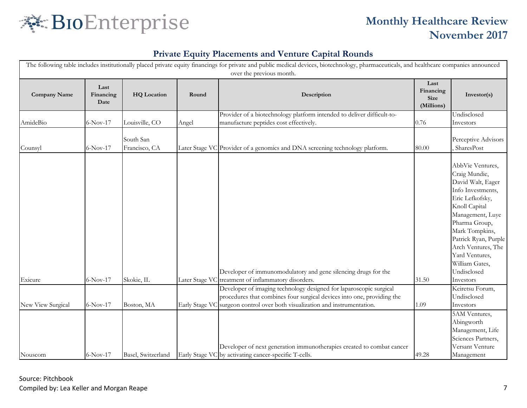

| The following table includes institutionally placed private equity financings for private and public medical devices, biotechnology, pharmaceuticals, and healthcare companies announced<br>over the previous month. |                           |                            |                |                                                                                                                                |                                                |                                                                                                                                                                                                                                                                                      |  |  |  |
|----------------------------------------------------------------------------------------------------------------------------------------------------------------------------------------------------------------------|---------------------------|----------------------------|----------------|--------------------------------------------------------------------------------------------------------------------------------|------------------------------------------------|--------------------------------------------------------------------------------------------------------------------------------------------------------------------------------------------------------------------------------------------------------------------------------------|--|--|--|
| <b>Company Name</b>                                                                                                                                                                                                  | Last<br>Financing<br>Date | <b>HQ</b> Location         | Round          | Description                                                                                                                    | Last<br>Financing<br><b>Size</b><br>(Millions) | Investor(s)                                                                                                                                                                                                                                                                          |  |  |  |
|                                                                                                                                                                                                                      |                           |                            |                | Provider of a biotechnology platform intended to deliver difficult-to-                                                         |                                                | Undisclosed                                                                                                                                                                                                                                                                          |  |  |  |
| AmideBio                                                                                                                                                                                                             | $6-Nov-17$                | Louisville, CO             | Angel          | manufacture peptides cost effectively.                                                                                         | 0.76                                           | Investors                                                                                                                                                                                                                                                                            |  |  |  |
| Counsyl                                                                                                                                                                                                              | $6-Nov-17$                | South San<br>Francisco, CA |                | Later Stage VC Provider of a genomics and DNA screening technology platform.                                                   | 80.00                                          | Perceptive Advisors<br>SharesPost                                                                                                                                                                                                                                                    |  |  |  |
| Exicure                                                                                                                                                                                                              | $6-Nov-17$                | Skokie, IL                 |                | Developer of immunomodulatory and gene silencing drugs for the<br>Later Stage VC treatment of inflammatory disorders.          | 31.50                                          | AbbVie Ventures,<br>Craig Mundie,<br>David Walt, Eager<br>Info Investments,<br>Eric Lefkofsky,<br>Knoll Capital<br>Management, Luye<br>Pharma Group,<br>Mark Tompkins,<br>Patrick Ryan, Purple<br>Arch Ventures, The<br>Yard Ventures,<br>William Gates,<br>Undisclosed<br>Investors |  |  |  |
|                                                                                                                                                                                                                      |                           |                            |                | Developer of imaging technology designed for laparoscopic surgical                                                             |                                                | Keiretsu Forum,                                                                                                                                                                                                                                                                      |  |  |  |
|                                                                                                                                                                                                                      |                           |                            |                | procedures that combines four surgical devices into one, providing the                                                         |                                                | Undisclosed                                                                                                                                                                                                                                                                          |  |  |  |
| New View Surgical                                                                                                                                                                                                    | 6-Nov-17                  | Boston, MA                 | Early Stage VC | surgeon control over both visualization and instrumentation.                                                                   | 1.09                                           | Investors                                                                                                                                                                                                                                                                            |  |  |  |
| Nouscom                                                                                                                                                                                                              | 6-Nov-17                  | Basel, Switzerland         |                | Developer of next generation immunotherapies created to combat cancer<br>Early Stage VC by activating cancer-specific T-cells. | 49.28                                          | 5AM Ventures,<br>Abingworth<br>Management, Life<br>Sciences Partners,<br>Versant Venture<br>Management                                                                                                                                                                               |  |  |  |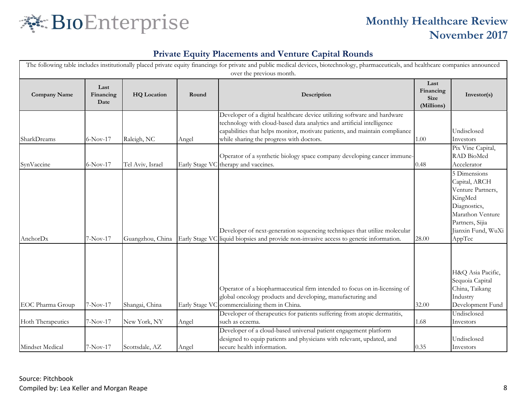

|                     | The following table includes institutionally placed private equity financings for private and public medical devices, biotechnology, pharmaceuticals, and healthcare companies announced<br>over the previous month. |                    |                |                                                                                                                                                                                                                                                                               |                                                |                                                                                                                                                      |  |  |  |
|---------------------|----------------------------------------------------------------------------------------------------------------------------------------------------------------------------------------------------------------------|--------------------|----------------|-------------------------------------------------------------------------------------------------------------------------------------------------------------------------------------------------------------------------------------------------------------------------------|------------------------------------------------|------------------------------------------------------------------------------------------------------------------------------------------------------|--|--|--|
| <b>Company Name</b> | Last<br>Financing<br>Date                                                                                                                                                                                            | <b>HQ</b> Location | Round          | Description                                                                                                                                                                                                                                                                   | Last<br>Financing<br><b>Size</b><br>(Millions) | Investor(s)                                                                                                                                          |  |  |  |
| SharkDreams         | $6-Nov-17$                                                                                                                                                                                                           | Raleigh, NC        | Angel          | Developer of a digital healthcare device utilizing software and hardware<br>technology with cloud-based data analytics and artificial intelligence<br>capabilities that helps monitor, motivate patients, and maintain compliance<br>while sharing the progress with doctors. | 1.00                                           | Undisclosed<br>Investors                                                                                                                             |  |  |  |
| SynVaccine          | $6-Nov-17$                                                                                                                                                                                                           | Tel Aviv, Israel   |                | Operator of a synthetic biology space company developing cancer immune-<br>Early Stage VC therapy and vaccines.                                                                                                                                                               | 0.48                                           | Pix Vine Capital,<br>RAD BioMed<br>Accelerator                                                                                                       |  |  |  |
| AnchorDx            | $7-Nov-17$                                                                                                                                                                                                           | Guangzhou, China   |                | Developer of next-generation sequencing techniques that utilize molecular<br>Early Stage VC liquid biopsies and provide non-invasive access to genetic information.                                                                                                           | 28.00                                          | 5 Dimensions<br>Capital, ARCH<br>Venture Partners,<br>KingMed<br>Diagnostics,<br>Marathon Venture<br>Partners, Sijia<br>Jianxin Fund, WuXi<br>AppTec |  |  |  |
| EOC Pharma Group    | 7-Nov-17                                                                                                                                                                                                             | Shangai, China     | Early Stage VC | Operator of a biopharmaceutical firm intended to focus on in-licensing of<br>global oncology products and developing, manufacturing and<br>commercializing them in China.                                                                                                     | 32.00                                          | H&Q Asia Pacific,<br>Sequoia Capital<br>China, Taikang<br>Industry<br>Development Fund                                                               |  |  |  |
| Hoth Therapeutics   | $7-Nov-17$                                                                                                                                                                                                           | New York, NY       | Angel          | Developer of therapeutics for patients suffering from atopic dermatitis,<br>such as eczema.                                                                                                                                                                                   | 1.68                                           | Undisclosed<br>Investors                                                                                                                             |  |  |  |
| Mindset Medical     | 7-Nov-17                                                                                                                                                                                                             | Scottsdale, AZ     | Angel          | Developer of a cloud-based universal patient engagement platform<br>designed to equip patients and physicians with relevant, updated, and<br>secure health information.                                                                                                       | 0.35                                           | Undisclosed<br>Investors                                                                                                                             |  |  |  |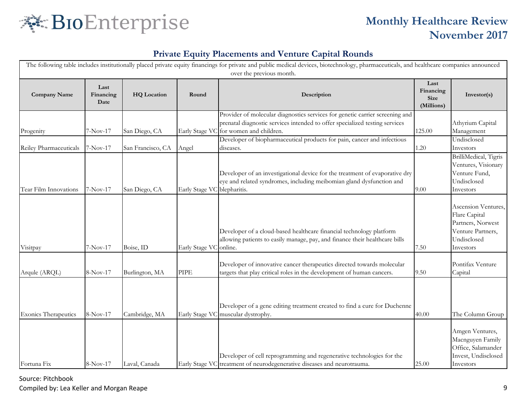

### **Private Equity Placements and Venture Capital Rounds**

|                             | The following table includes institutionally placed private equity financings for private and public medical devices, biotechnology, pharmaceuticals, and healthcare companies announced<br>over the previous month. |                    |                             |                                                                                                                                                                                                       |                                                |                                                                                                            |  |  |
|-----------------------------|----------------------------------------------------------------------------------------------------------------------------------------------------------------------------------------------------------------------|--------------------|-----------------------------|-------------------------------------------------------------------------------------------------------------------------------------------------------------------------------------------------------|------------------------------------------------|------------------------------------------------------------------------------------------------------------|--|--|
| <b>Company Name</b>         | Last<br>Financing<br>Date                                                                                                                                                                                            | <b>HQ</b> Location | Round                       | Description                                                                                                                                                                                           | Last<br>Financing<br><b>Size</b><br>(Millions) | Investor(s)                                                                                                |  |  |
| Progenity                   | 7-Nov-17                                                                                                                                                                                                             | San Diego, CA      |                             | Provider of molecular diagnostics services for genetic carrier screening and<br>prenatal diagnostic services intended to offer specialized testing services<br>Early Stage VC for women and children. | 125.00                                         | Athyrium Capital<br>Management                                                                             |  |  |
| Reiley Pharmaceuticals      | $7-Nov-17$                                                                                                                                                                                                           | San Francisco, CA  | Angel                       | Developer of biopharmaceutical products for pain, cancer and infectious<br>diseases.                                                                                                                  | 1.20                                           | Undisclosed<br>Investors                                                                                   |  |  |
| Tear Film Innovations       | 7-Nov-17                                                                                                                                                                                                             | San Diego, CA      | Early Stage VC blepharitis. | Developer of an investigational device for the treatment of evaporative dry<br>eye and related syndromes, including meibomian gland dysfunction and                                                   | 9.00                                           | BrilliMedical, Tigris<br>Ventures, Visionary<br>Venture Fund,<br>Undisclosed<br>Investors                  |  |  |
| Visitpay                    | $7-Nov-17$                                                                                                                                                                                                           | Boise, ID          | Early Stage VC              | Developer of a cloud-based healthcare financial technology platform<br>allowing patients to easily manage, pay, and finance their healthcare bills<br>online.                                         | 7.50                                           | Ascension Ventures,<br>Flare Capital<br>Partners, Norwest<br>Venture Partners,<br>Undisclosed<br>Investors |  |  |
| Arqule (ARQL)               | 8-Nov-17                                                                                                                                                                                                             | Burlington, MA     | <b>PIPE</b>                 | Developer of innovative cancer therapeutics directed towards molecular<br>targets that play critical roles in the development of human cancers.                                                       | 9.50                                           | Pontifax Venture<br>Capital                                                                                |  |  |
| <b>Exonics Therapeutics</b> | 8-Nov-17                                                                                                                                                                                                             | Cambridge, MA      |                             | Developer of a gene editing treatment created to find a cure for Duchenne<br>Early Stage VC muscular dystrophy.<br>Developer of cell reprogramming and regenerative technologies for the              | 40.00                                          | The Column Group<br>Amgen Ventures,<br>Macnguyen Family<br>Office, Salamander<br>Invest, Undisclosed       |  |  |
| Fortuna Fix                 | 8-Nov-17                                                                                                                                                                                                             | Laval, Canada      |                             | Early Stage VC treatment of neurodegenerative diseases and neurotrauma.                                                                                                                               | 25.00                                          | Investors                                                                                                  |  |  |

Source: Pitchbook

Compiled by: Lea Keller and Morgan Reape 9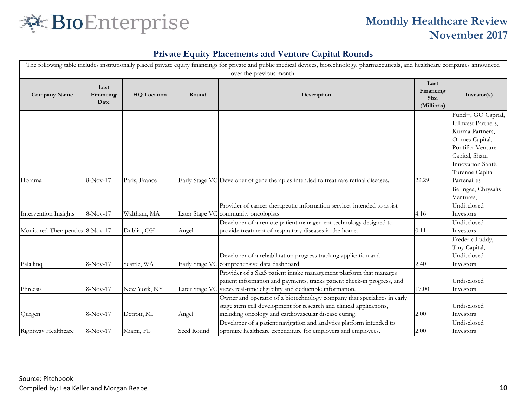

| The following table includes institutionally placed private equity financings for private and public medical devices, biotechnology, pharmaceuticals, and healthcare companies announced<br>over the previous month. |                           |                           |                |                                                                                                                                                                                                                                                                                 |                                                |                                                                                                                                                                   |  |  |
|----------------------------------------------------------------------------------------------------------------------------------------------------------------------------------------------------------------------|---------------------------|---------------------------|----------------|---------------------------------------------------------------------------------------------------------------------------------------------------------------------------------------------------------------------------------------------------------------------------------|------------------------------------------------|-------------------------------------------------------------------------------------------------------------------------------------------------------------------|--|--|
| <b>Company Name</b>                                                                                                                                                                                                  | Last<br>Financing<br>Date | <b>HQ</b> Location        | Round          | Description                                                                                                                                                                                                                                                                     | Last<br>Financing<br><b>Size</b><br>(Millions) | Investor(s)                                                                                                                                                       |  |  |
|                                                                                                                                                                                                                      |                           |                           |                |                                                                                                                                                                                                                                                                                 |                                                | Fund+, GO Capital,<br><b>IdInvest Partners,</b><br>Kurma Partners,<br>Omnes Capital,<br>Pontifax Venture<br>Capital, Sham<br>Innovation Santé,<br>Turenne Capital |  |  |
| Horama                                                                                                                                                                                                               | 8-Nov-17                  | Paris, France             |                | Early Stage VC Developer of gene therapies intended to treat rare retinal diseases.<br>Provider of cancer therapeutic information services intended to assist                                                                                                                   | 22.29<br>4.16                                  | Partenaires<br>Beringea, Chrysalis<br>Ventures,<br>Undisclosed                                                                                                    |  |  |
| Intervention Insights<br>Monitored Therapeutics 8-Nov-17                                                                                                                                                             | $8-Nov-17$                | Waltham, MA<br>Dublin, OH | Angel          | Later Stage VC community oncologists.<br>Developer of a remote patient management technology designed to<br>provide treatment of respiratory diseases in the home.                                                                                                              | 0.11                                           | Investors<br>Undisclosed<br>Investors                                                                                                                             |  |  |
| Pala.linq                                                                                                                                                                                                            | 8-Nov-17                  | Seattle, WA               |                | Developer of a rehabilitation progress tracking application and<br>Early Stage VC comprehensive data dashboard.                                                                                                                                                                 | 2.40                                           | Frederic Luddy,<br>Tiny Capital,<br>Undisclosed<br>Investors                                                                                                      |  |  |
| Phreesia                                                                                                                                                                                                             | 8-Nov-17                  | New York, NY              | Later Stage VC | Provider of a SaaS patient intake management platform that manages<br>patient information and payments, tracks patient check-in progress, and<br>views real-time eligibility and deductible information.                                                                        | 17.00                                          | Undisclosed<br>Investors                                                                                                                                          |  |  |
| Qurgen                                                                                                                                                                                                               | 8-Nov-17                  | Detroit, MI               | Angel          | Owner and operator of a biotechnology company that specializes in early<br>stage stem cell development for research and clinical applications,<br>including oncology and cardiovascular disease curing.<br>Developer of a patient navigation and analytics platform intended to | 2.00                                           | Undisclosed<br>Investors<br>Undisclosed                                                                                                                           |  |  |
| Rightway Healthcare                                                                                                                                                                                                  | 8-Nov-17                  | Miami, FL                 | Seed Round     | optimize healthcare expenditure for employers and employees.                                                                                                                                                                                                                    | $2.00\,$                                       | Investors                                                                                                                                                         |  |  |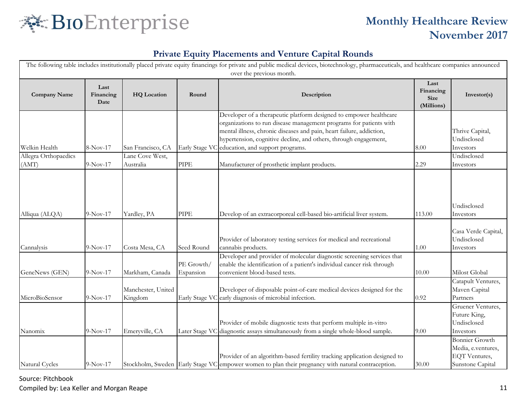

### **Private Equity Placements and Venture Capital Rounds**

|                               | The following table includes institutionally placed private equity financings for private and public medical devices, biotechnology, pharmaceuticals, and healthcare companies announced<br>over the previous month. |                               |                         |                                                                                                                                                                                                                                                                                                                                         |                                                |                                                                                  |  |  |  |
|-------------------------------|----------------------------------------------------------------------------------------------------------------------------------------------------------------------------------------------------------------------|-------------------------------|-------------------------|-----------------------------------------------------------------------------------------------------------------------------------------------------------------------------------------------------------------------------------------------------------------------------------------------------------------------------------------|------------------------------------------------|----------------------------------------------------------------------------------|--|--|--|
| <b>Company Name</b>           | Last<br>Financing<br>Date                                                                                                                                                                                            | <b>HQ</b> Location            | Round                   | Description                                                                                                                                                                                                                                                                                                                             | Last<br>Financing<br><b>Size</b><br>(Millions) | Investor(s)                                                                      |  |  |  |
| Welkin Health                 | 8-Nov-17                                                                                                                                                                                                             | San Francisco, CA             |                         | Developer of a therapeutic platform designed to empower healthcare<br>organizations to run disease management programs for patients with<br>mental illness, chronic diseases and pain, heart failure, addiction,<br>hypertension, cognitive decline, and others, through engagement,<br>Early Stage VC education, and support programs. | 8.00                                           | Thrive Capital,<br>Undisclosed<br>Investors                                      |  |  |  |
| Allegra Orthopaedics<br>(AMT) | 9-Nov-17                                                                                                                                                                                                             | Lane Cove West,<br>Australia  | <b>PIPE</b>             | Manufacturer of prosthetic implant products.                                                                                                                                                                                                                                                                                            | 2.29                                           | Undisclosed<br>Investors                                                         |  |  |  |
| Alliqua (ALQA)                | $9-Nov-17$                                                                                                                                                                                                           | Yardley, PA                   | <b>PIPE</b>             | Develop of an extracorporeal cell-based bio-artificial liver system.                                                                                                                                                                                                                                                                    | 113.00                                         | Undisclosed<br>Investors<br>Casa Verde Capital,                                  |  |  |  |
| Cannalysis                    | $9-Nov-17$                                                                                                                                                                                                           | Costa Mesa, CA                | Seed Round              | Provider of laboratory testing services for medical and recreational<br>cannabis products.                                                                                                                                                                                                                                              | 1.00                                           | Undisclosed<br>Investors                                                         |  |  |  |
| GeneNews (GEN)                | 9-Nov-17                                                                                                                                                                                                             | Markham, Canada               | PE Growth/<br>Expansion | Developer and provider of molecular diagnostic screening services that<br>enable the identification of a patient's individual cancer risk through<br>convenient blood-based tests.                                                                                                                                                      | 10.00                                          | Milost Global                                                                    |  |  |  |
| MicroBioSensor                | $9-Nov-17$                                                                                                                                                                                                           | Manchester, United<br>Kingdom | Early Stage VC          | Developer of disposable point-of-care medical devices designed for the<br>early diagnosis of microbial infection.                                                                                                                                                                                                                       | 0.92                                           | Catapult Ventures,<br>Maven Capital<br>Partners                                  |  |  |  |
| Nanomix                       | $9-Nov-17$                                                                                                                                                                                                           | Emeryville, CA                |                         | Provider of mobile diagnostic tests that perform multiple in-vitro<br>Later Stage VC diagnostic assays simultaneously from a single whole-blood sample.                                                                                                                                                                                 | 9.00                                           | Gruener Ventures,<br>Future King,<br>Undisclosed<br>Investors                    |  |  |  |
| Natural Cycles                | $9-Nov-17$                                                                                                                                                                                                           |                               |                         | Provider of an algorithm-based fertility tracking application designed to<br>Stockholm, Sweden Early Stage VC empower women to plan their pregnancy with natural contraception.                                                                                                                                                         | 30.00                                          | <b>Bonnier Growth</b><br>Media, e.ventures,<br>EQT Ventures,<br>Sunstone Capital |  |  |  |

Source: Pitchbook

Compiled by: Lea Keller and Morgan Reape 11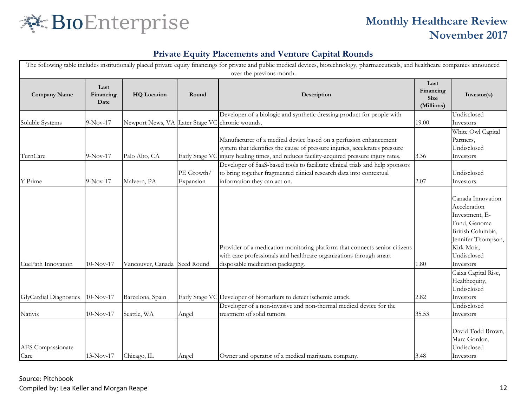

| The following table includes institutionally placed private equity financings for private and public medical devices, biotechnology, pharmaceuticals, and healthcare companies announced<br>over the previous month. |                           |                                 |                         |                                                                                                                                                                                                                                               |                                                |                                                                                                                                                          |  |  |
|----------------------------------------------------------------------------------------------------------------------------------------------------------------------------------------------------------------------|---------------------------|---------------------------------|-------------------------|-----------------------------------------------------------------------------------------------------------------------------------------------------------------------------------------------------------------------------------------------|------------------------------------------------|----------------------------------------------------------------------------------------------------------------------------------------------------------|--|--|
| <b>Company Name</b>                                                                                                                                                                                                  | Last<br>Financing<br>Date | <b>HQ</b> Location              | Round                   | Description                                                                                                                                                                                                                                   | Last<br>Financing<br><b>Size</b><br>(Millions) | Investor(s)                                                                                                                                              |  |  |
| Soluble Systems                                                                                                                                                                                                      | 9-Nov-17                  | Newport News, VA Later Stage VC |                         | Developer of a biologic and synthetic dressing product for people with<br>chronic wounds.                                                                                                                                                     | 19.00                                          | Undisclosed<br>Investors                                                                                                                                 |  |  |
| TurnCare                                                                                                                                                                                                             | $9-Nov-17$                | Palo Alto, CA                   |                         | Manufacturer of a medical device based on a perfusion enhancement<br>system that identifies the cause of pressure injuries, accelerates pressure<br>Early Stage VC injury healing times, and reduces facility-acquired pressure injury rates. | 3.36                                           | White Owl Capital<br>Partners,<br>Undisclosed<br>Investors                                                                                               |  |  |
| Y Prime                                                                                                                                                                                                              | $9-Nov-17$                | Malvern, PA                     | PE Growth/<br>Expansion | Developer of SaaS-based tools to facilitate clinical trials and help sponsors<br>to bring together fragmented clinical research data into contextual<br>information they can act on.                                                          | 2.07                                           | Undisclosed<br>Investors                                                                                                                                 |  |  |
| CuePath Innovation                                                                                                                                                                                                   | $10-Nov-17$               | Vancouver, Canada Seed Round    |                         | Provider of a medication monitoring platform that connects senior citizens<br>with care professionals and healthcare organizations through smart<br>disposable medication packaging.                                                          | 1.80                                           | Canada Innovation<br>Acceleration<br>Investment, E-<br>Fund, Genome<br>British Columbia,<br>Jennifer Thompson,<br>Kirk Moir,<br>Undisclosed<br>Investors |  |  |
| GlyCardial Diagnostics                                                                                                                                                                                               | $10-Nov-17$               | Barcelona, Spain                |                         | Early Stage VC Developer of biomarkers to detect ischemic attack.                                                                                                                                                                             | 2.82                                           | Caixa Capital Risc,<br>Healthequity,<br>Undisclosed<br>Investors                                                                                         |  |  |
| Nativis                                                                                                                                                                                                              | $10-Nov-17$               | Seattle, WA                     | Angel                   | Developer of a non-invasive and non-thermal medical device for the<br>treatment of solid tumors.                                                                                                                                              | 35.53                                          | Undisclosed<br>Investors                                                                                                                                 |  |  |
| AES Compassionate<br>Care                                                                                                                                                                                            | $13-Nov-17$               | Chicago, IL                     | Angel                   | Owner and operator of a medical marijuana company.                                                                                                                                                                                            | 3.48                                           | David Todd Brown,<br>Marc Gordon,<br>Undisclosed<br>Investors                                                                                            |  |  |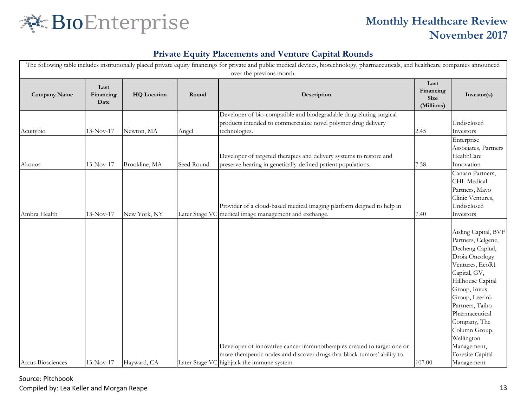

| The following table includes institutionally placed private equity financings for private and public medical devices, biotechnology, pharmaceuticals, and healthcare companies announced<br>over the previous month. |                           |                    |                |                                                                                                                                                                                                  |                                                |                                                                                                                                                                                                                                                                                                                 |  |  |
|----------------------------------------------------------------------------------------------------------------------------------------------------------------------------------------------------------------------|---------------------------|--------------------|----------------|--------------------------------------------------------------------------------------------------------------------------------------------------------------------------------------------------|------------------------------------------------|-----------------------------------------------------------------------------------------------------------------------------------------------------------------------------------------------------------------------------------------------------------------------------------------------------------------|--|--|
| <b>Company Name</b>                                                                                                                                                                                                  | Last<br>Financing<br>Date | <b>HQ</b> Location | Round          | Description                                                                                                                                                                                      | Last<br>Financing<br><b>Size</b><br>(Millions) | Investor(s)                                                                                                                                                                                                                                                                                                     |  |  |
| Acuitybio                                                                                                                                                                                                            | $13-Nov-17$               | Newton, MA         | Angel          | Developer of bio-compatible and biodegradable drug-eluting surgical<br>products intended to commercialize novel polymer drug delivery<br>technologies.                                           | 2.45                                           | Undisclosed<br>Investors                                                                                                                                                                                                                                                                                        |  |  |
| Akouos                                                                                                                                                                                                               | $13-Nov-17$               | Brookline, MA      | Seed Round     | Developer of targeted therapies and delivery systems to restore and<br>preserve hearing in genetically-defined patient populations.                                                              | 7.58                                           | Enterprise<br>Associates, Partners<br>HealthCare<br>Innovation                                                                                                                                                                                                                                                  |  |  |
| Ambra Health                                                                                                                                                                                                         | $13-Nov-17$               | New York, NY       | Later Stage VC | Provider of a cloud-based medical imaging platform deigned to help in<br>medical image management and exchange.                                                                                  | 7.40                                           | Canaan Partners,<br>CHL Medical<br>Partners, Mayo<br>Clinic Ventures,<br>Undisclosed<br>Investors                                                                                                                                                                                                               |  |  |
| Arcus Biosciences                                                                                                                                                                                                    | $13-Nov-17$               | Hayward, CA        |                | Developer of innovative cancer immunotherapies created to target one or<br>more therapeutic nodes and discover drugs that block tumors' ability to<br>Later Stage VC highjack the immune system. | 107.00                                         | Aisling Capital, BVF<br>Partners, Celgene,<br>Decheng Capital,<br>Droia Oncology<br>Ventures, EcoR1<br>Capital, GV,<br>Hillhouse Capital<br>Group, Invus<br>Group, Leerink<br>Partners, Taiho<br>Pharmaceutical<br>Company, The<br>Column Group,<br>Wellington<br>Management,<br>Foresite Capital<br>Management |  |  |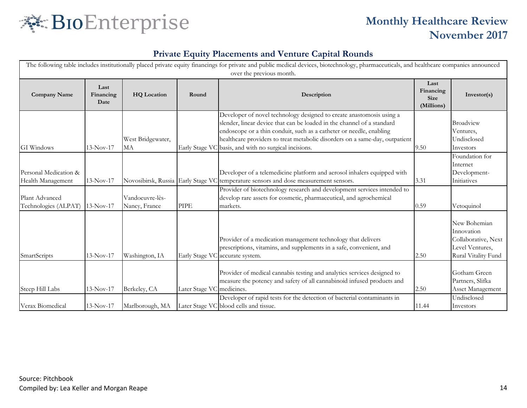

| The following table includes institutionally placed private equity financings for private and public medical devices, biotechnology, pharmaceuticals, and healthcare companies announced<br>over the previous month. |                           |                                  |                           |                                                                                                                                                                                                                                                                                                                                                               |                                                |                                                                                             |  |  |
|----------------------------------------------------------------------------------------------------------------------------------------------------------------------------------------------------------------------|---------------------------|----------------------------------|---------------------------|---------------------------------------------------------------------------------------------------------------------------------------------------------------------------------------------------------------------------------------------------------------------------------------------------------------------------------------------------------------|------------------------------------------------|---------------------------------------------------------------------------------------------|--|--|
| <b>Company Name</b>                                                                                                                                                                                                  | Last<br>Financing<br>Date | <b>HQ</b> Location               | Round                     | Description                                                                                                                                                                                                                                                                                                                                                   | Last<br>Financing<br><b>Size</b><br>(Millions) | Investor(s)                                                                                 |  |  |
| GI Windows                                                                                                                                                                                                           | $13-Nov-17$               | West Bridgewater,<br>MA          |                           | Developer of novel technology designed to create anastomosis using a<br>slender, linear device that can be loaded in the channel of a standard<br>endoscope or a thin conduit, such as a catheter or needle, enabling<br>healthcare providers to treat metabolic disorders on a same-day, outpatient<br>Early Stage VC basis, and with no surgical incisions. | 9.50                                           | <b>Broadview</b><br>Ventures,<br>Undisclosed<br>Investors                                   |  |  |
| Personal Medication &<br>Health Management                                                                                                                                                                           | $13-Nov-17$               |                                  |                           | Developer of a telemedicine platform and aerosol inhalers equipped with<br>Novosibirsk, Russia Early Stage VC temperature sensors and dose measurement sensors.                                                                                                                                                                                               | 3.31                                           | Foundation for<br>Internet<br>Development-<br>Initiatives                                   |  |  |
| Plant Advanced<br>Technologies (ALPAT)                                                                                                                                                                               | $13-Nov-17$               | Vandoeuvre-lès-<br>Nancy, France | <b>PIPE</b>               | Provider of biotechnology research and development services intended to<br>develop rare assets for cosmetic, pharmaceutical, and agrochemical<br>markets.                                                                                                                                                                                                     | 0.59                                           | Vetoquinol                                                                                  |  |  |
| SmartScripts                                                                                                                                                                                                         | $13-Nov-17$               | Washington, IA                   |                           | Provider of a medication management technology that delivers<br>prescriptions, vitamins, and supplements in a safe, convenient, and<br>Early Stage VC accurate system.                                                                                                                                                                                        | 2.50                                           | New Bohemian<br>Innovation<br>Collaborative, Next<br>Level Ventures,<br>Rural Vitality Fund |  |  |
| Steep Hill Labs                                                                                                                                                                                                      | $13-Nov-17$               | Berkeley, CA                     | Later Stage VC medicines. | Provider of medical cannabis testing and analytics services designed to<br>measure the potency and safety of all cannabinoid infused products and                                                                                                                                                                                                             | 2.50                                           | Gotham Green<br>Partners, Slifka<br>Asset Management                                        |  |  |
| Verax Biomedical                                                                                                                                                                                                     | $13-Nov-17$               | Marlborough, MA                  |                           | Developer of rapid tests for the detection of bacterial contaminants in<br>Later Stage VC blood cells and tissue.                                                                                                                                                                                                                                             | 11.44                                          | Undisclosed<br>Investors                                                                    |  |  |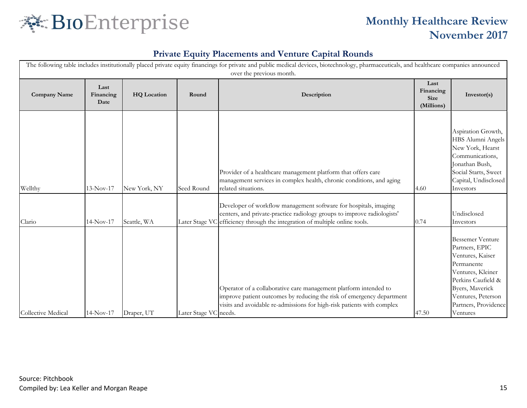

| The following table includes institutionally placed private equity financings for private and public medical devices, biotechnology, pharmaceuticals, and healthcare companies announced<br>over the previous month. |                            |                           |                       |                                                                                                                                                                                                                                                                                                             |                                                |                                                                                                                                                                                                                  |  |  |
|----------------------------------------------------------------------------------------------------------------------------------------------------------------------------------------------------------------------|----------------------------|---------------------------|-----------------------|-------------------------------------------------------------------------------------------------------------------------------------------------------------------------------------------------------------------------------------------------------------------------------------------------------------|------------------------------------------------|------------------------------------------------------------------------------------------------------------------------------------------------------------------------------------------------------------------|--|--|
| <b>Company Name</b>                                                                                                                                                                                                  | Last<br>Financing<br>Date  | <b>HQ</b> Location        | Round                 | Description                                                                                                                                                                                                                                                                                                 | Last<br>Financing<br><b>Size</b><br>(Millions) | Investor(s)                                                                                                                                                                                                      |  |  |
| Wellthy                                                                                                                                                                                                              | 13-Nov-17                  | New York, NY              | Seed Round            | Provider of a healthcare management platform that offers care<br>management services in complex health, chronic conditions, and aging<br>related situations.<br>Developer of workflow management software for hospitals, imaging<br>centers, and private-practice radiology groups to improve radiologists' | 4.60                                           | Aspiration Growth,<br>HBS Alumni Angels<br>New York, Hearst<br>Communications,<br>Jonathan Bush,<br>Social Starts, Sweet<br>Capital, Undisclosed<br>Investors<br>Undisclosed                                     |  |  |
| Clario<br>Collective Medical                                                                                                                                                                                         | $14-Nov-17$<br>$14-Nov-17$ | Seattle, WA<br>Draper, UT | Later Stage VC needs. | Later Stage VC efficiency through the integration of multiple online tools.<br>Operator of a collaborative care management platform intended to<br>improve patient outcomes by reducing the risk of emergency department<br>visits and avoidable re-admissions for high-risk patients with complex          | 0.74<br>47.50                                  | Investors<br><b>Bessemer Venture</b><br>Partners, EPIC<br>Ventures, Kaiser<br>Permanente<br>Ventures, Kleiner<br>Perkins Caufield &<br>Byers, Maverick<br>Ventures, Peterson<br>Partners, Providence<br>Ventures |  |  |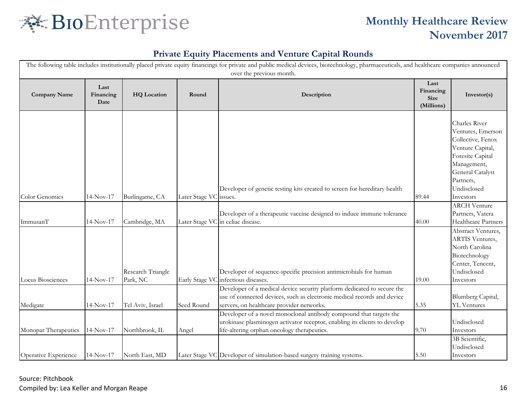

| The following table includes institutionally placed private equity financings for private and public medical devices, biotechnology, pharmaceuticals, and healthcare companies announced<br>over the previous month. |                           |                    |                        |                                                                                                                                                                                                 |                                                |                                                                                                                                                                             |  |  |
|----------------------------------------------------------------------------------------------------------------------------------------------------------------------------------------------------------------------|---------------------------|--------------------|------------------------|-------------------------------------------------------------------------------------------------------------------------------------------------------------------------------------------------|------------------------------------------------|-----------------------------------------------------------------------------------------------------------------------------------------------------------------------------|--|--|
| <b>Company Name</b>                                                                                                                                                                                                  | Last<br>Financing<br>Date | <b>HQ</b> Location | Round                  | Description                                                                                                                                                                                     | Last<br>Financing<br><b>Size</b><br>(Millions) | Investor(s)                                                                                                                                                                 |  |  |
| Color Genomics                                                                                                                                                                                                       | $14-Nov-17$               | Burlingame, CA     | Later Stage VC issues. | Developer of genetic testing kits created to screen for hereditary health                                                                                                                       | 89.44                                          | Charles River<br>Ventures, Emerson<br>Collective, Fenox<br>Venture Capital,<br>Foresite Capital<br>Management,<br>General Catalyst<br>Partners,<br>Undisclosed<br>Investors |  |  |
|                                                                                                                                                                                                                      |                           |                    |                        |                                                                                                                                                                                                 |                                                | <b>ARCH Venture</b>                                                                                                                                                         |  |  |
| ImmusanT                                                                                                                                                                                                             | $14-Nov-17$               | Cambridge, MA      |                        | Developer of a therapeutic vaccine designed to induce immune tolerance<br>Later Stage VC in celiac disease.                                                                                     | 40.00                                          | Partners, Vatera<br>Healthcare Partners                                                                                                                                     |  |  |
|                                                                                                                                                                                                                      |                           | Research Triangle  |                        | Developer of sequence-specific precision antimicrobials for human                                                                                                                               |                                                | Abstract Ventures,<br><b>ARTIS Ventures,</b><br>North Carolina<br>Biotechnology<br>Center, Tencent,<br>Undisclosed                                                          |  |  |
| Locus Biosciences                                                                                                                                                                                                    | $14-Nov-17$               | Park, NC           |                        | Early Stage VC infectious diseases.                                                                                                                                                             | 19.00                                          | Investors                                                                                                                                                                   |  |  |
| Medigate                                                                                                                                                                                                             | $14-Nov-17$               | Tel Aviv, Israel   | Seed Round             | Developer of a medical device security platform dedicated to secure the<br>use of connected devices, such as electronic medical records and device<br>servers, on healthcare provider networks. | 5.35                                           | Blumberg Capital,<br><b>YL</b> Ventures                                                                                                                                     |  |  |
|                                                                                                                                                                                                                      |                           |                    |                        | Developer of a novel monoclonal antibody compound that targets the<br>urokinase plasminogen activator receptor, enabling its clients to develop                                                 |                                                | Undisclosed                                                                                                                                                                 |  |  |
| Monopar Therapeutics                                                                                                                                                                                                 | $14-Nov-17$               | Northbrook, IL     | Angel                  | life-altering orphan oncology therapeutics.                                                                                                                                                     | 9.70                                           | Investors                                                                                                                                                                   |  |  |
|                                                                                                                                                                                                                      |                           |                    |                        |                                                                                                                                                                                                 |                                                | 3B Scientific,<br>Undisclosed                                                                                                                                               |  |  |
| Operative Experience                                                                                                                                                                                                 | $14-Nov-17$               | North East, MD     |                        | Later Stage VC Developer of simulation-based surgery training systems.                                                                                                                          | 5.50                                           | Investors                                                                                                                                                                   |  |  |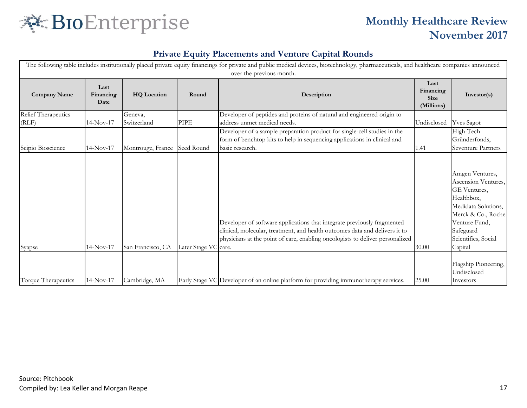

| The following table includes institutionally placed private equity financings for private and public medical devices, biotechnology, pharmaceuticals, and healthcare companies announced<br>over the previous month. |                           |                        |                      |                                                                                                                                                                                                                                         |                                                |                                                                                                                                                                                   |  |  |
|----------------------------------------------------------------------------------------------------------------------------------------------------------------------------------------------------------------------|---------------------------|------------------------|----------------------|-----------------------------------------------------------------------------------------------------------------------------------------------------------------------------------------------------------------------------------------|------------------------------------------------|-----------------------------------------------------------------------------------------------------------------------------------------------------------------------------------|--|--|
| <b>Company Name</b>                                                                                                                                                                                                  | Last<br>Financing<br>Date | <b>HQ</b> Location     | Round                | Description                                                                                                                                                                                                                             | Last<br>Financing<br><b>Size</b><br>(Millions) | Investor(s)                                                                                                                                                                       |  |  |
| <b>Relief Therapeutics</b><br>(RLF)                                                                                                                                                                                  | $14-Nov-17$               | Geneva,<br>Switzerland | <b>PIPE</b>          | Developer of peptides and proteins of natural and engineered origin to<br>address unmet medical needs.                                                                                                                                  | Undisclosed                                    | <b>Yves Sagot</b>                                                                                                                                                                 |  |  |
| Scipio Bioscience                                                                                                                                                                                                    | $14-Nov-17$               | Montrouge, France      | Seed Round           | Developer of a sample preparation product for single-cell studies in the<br>form of benchtop kits to help in sequencing applications in clinical and<br>basic research.                                                                 | 1.41                                           | High-Tech<br>Gründerfonds,<br><b>Seventure Partners</b>                                                                                                                           |  |  |
| Syapse                                                                                                                                                                                                               | $14-Nov-17$               | San Francisco, CA      | Later Stage VC care. | Developer of software applications that integrate previously fragmented<br>clinical, molecular, treatment, and health outcomes data and delivers it to<br>physicians at the point of care, enabling oncologists to deliver personalized | 30.00                                          | Amgen Ventures,<br>Ascension Ventures,<br>GE Ventures,<br>Healthbox,<br>Medidata Solutions,<br>Merck & Co., Roche<br>Venture Fund,<br>Safeguard<br>Scientifics, Social<br>Capital |  |  |
| Torque Therapeutics                                                                                                                                                                                                  | 14-Nov-17                 | Cambridge, MA          |                      | Early Stage VC Developer of an online platform for providing immunotherapy services.                                                                                                                                                    | 25.00                                          | Flagship Pioneering,<br>Undisclosed<br>Investors                                                                                                                                  |  |  |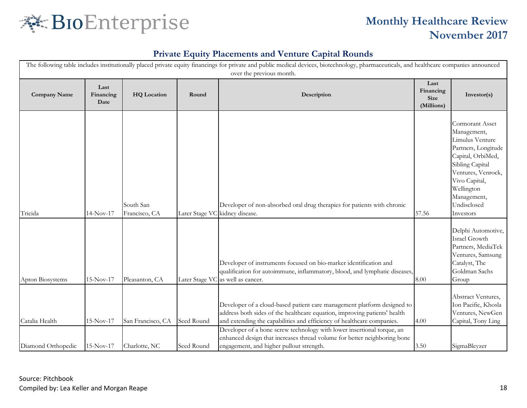

|                                      |                           |                                    |                          | The following table includes institutionally placed private equity financings for private and public medical devices, biotechnology, pharmaceuticals, and healthcare companies announced<br>over the previous month.                                                                                                                                                                                                             |                                                |                                                                                                                                                                                                                         |
|--------------------------------------|---------------------------|------------------------------------|--------------------------|----------------------------------------------------------------------------------------------------------------------------------------------------------------------------------------------------------------------------------------------------------------------------------------------------------------------------------------------------------------------------------------------------------------------------------|------------------------------------------------|-------------------------------------------------------------------------------------------------------------------------------------------------------------------------------------------------------------------------|
| <b>Company Name</b>                  | Last<br>Financing<br>Date | <b>HQ</b> Location                 | Round                    | Description                                                                                                                                                                                                                                                                                                                                                                                                                      | Last<br>Financing<br><b>Size</b><br>(Millions) | Investor(s)                                                                                                                                                                                                             |
| Tricida                              | $14-Nov-17$               | South San<br>Francisco, CA         |                          | Developer of non-absorbed oral drug therapies for patients with chronic<br>Later Stage VC kidney disease.                                                                                                                                                                                                                                                                                                                        | 57.56                                          | <b>Cormorant Asset</b><br>Management,<br>Limulus Venture<br>Partners, Longitude<br>Capital, OrbiMed,<br>Sibling Capital<br>Ventures, Venrock,<br>Vivo Capital,<br>Wellington<br>Management,<br>Undisclosed<br>Investors |
| Apton Biosystems                     | $15-Nov-17$               | Pleasanton, CA                     |                          | Developer of instruments focused on bio-marker identification and<br>qualification for autoimmune, inflammatory, blood, and lymphatic diseases,<br>Later Stage VC as well as cancer.                                                                                                                                                                                                                                             | 8.00                                           | Delphi Automotive,<br>Israel Growth<br>Partners, MediaTek<br>Ventures, Samsung<br>Catalyst, The<br>Goldman Sachs<br>Group                                                                                               |
| Catalia Health<br>Diamond Orthopedic | $15-Nov-17$<br>15-Nov-17  | San Francisco, CA<br>Charlotte, NC | Seed Round<br>Seed Round | Developer of a cloud-based patient care management platform designed to<br>address both sides of the healthcare equation, improving patients' health<br>and extending the capabilities and efficiency of healthcare companies.<br>Developer of a bone screw technology with lower insertional torque, an<br>enhanced design that increases thread volume for better neighboring bone<br>engagement, and higher pullout strength. | 4.00<br>3.50                                   | Abstract Ventures,<br>Ion Pacific, Khosla<br>Ventures, NewGen<br>Capital, Tony Ling<br>SigmaBleyzer                                                                                                                     |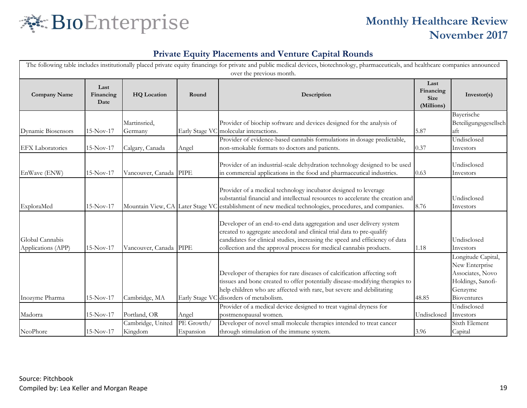

| The following table includes institutionally placed private equity financings for private and public medical devices, biotechnology, pharmaceuticals, and healthcare companies announced |                           |                                  |                         |                                                                                                                                                                                                                                                                                                     |                                                |                                                                                                         |  |  |
|------------------------------------------------------------------------------------------------------------------------------------------------------------------------------------------|---------------------------|----------------------------------|-------------------------|-----------------------------------------------------------------------------------------------------------------------------------------------------------------------------------------------------------------------------------------------------------------------------------------------------|------------------------------------------------|---------------------------------------------------------------------------------------------------------|--|--|
| <b>Company Name</b>                                                                                                                                                                      | Last<br>Financing<br>Date | <b>HQ</b> Location               | Round                   | over the previous month.<br>Description                                                                                                                                                                                                                                                             | Last<br>Financing<br><b>Size</b><br>(Millions) | Investor(s)                                                                                             |  |  |
| Dynamic Biosensors                                                                                                                                                                       | $15-Nov-17$               | Martinsried,<br>Germany          |                         | Provider of biochip software and devices designed for the analysis of<br>Early Stage VC molecular interactions.                                                                                                                                                                                     | 5.87                                           | Bayerische<br>Beteiligungsgesellsch<br>aft                                                              |  |  |
| <b>EFX</b> Laboratories                                                                                                                                                                  | $15-Nov-17$               | Calgary, Canada                  | Angel                   | Provider of evidence-based cannabis formulations in dosage predictable,<br>non-smokable formats to doctors and patients.                                                                                                                                                                            | 0.37                                           | Undisclosed<br>Investors                                                                                |  |  |
| EnWave (ENW)                                                                                                                                                                             | $15-Nov-17$               | Vancouver, Canada PIPE           |                         | Provider of an industrial-scale dehydration technology designed to be used<br>in commercial applications in the food and pharmaceutical industries.                                                                                                                                                 | 0.63                                           | Undisclosed<br>Investors                                                                                |  |  |
| ExploraMed                                                                                                                                                                               | $15-Nov-17$               | Mountain View, CA Later Stage VC |                         | Provider of a medical technology incubator designed to leverage<br>substantial financial and intellectual resources to accelerate the creation and<br>establishment of new medical technologies, procedures, and companies.                                                                         | 8.76                                           | Undisclosed<br>Investors                                                                                |  |  |
| Global Cannabis<br>Applications (APP)                                                                                                                                                    | $15-Nov-17$               | Vancouver, Canada PIPE           |                         | Developer of an end-to-end data aggregation and user delivery system<br>created to aggregate anecdotal and clinical trial data to pre-qualify<br>candidates for clinical studies, increasing the speed and efficiency of data<br>collection and the approval process for medical cannabis products. | 1.18                                           | Undisclosed<br>Investors                                                                                |  |  |
| Inozyme Pharma                                                                                                                                                                           | $15-Nov-17$               | Cambridge, MA                    |                         | Developer of therapies for rare diseases of calcification affecting soft<br>tissues and bone created to offer potentially disease-modifying therapies to<br>help children who are affected with rare, but severe and debilitating<br>Early Stage VC disorders of metabolism.                        | 48.85                                          | Longitude Capital,<br>New Enterprise<br>Associates, Novo<br>Holdings, Sanofi-<br>Genzyme<br>Bioventures |  |  |
| Madorra                                                                                                                                                                                  | $15-Nov-17$               | Portland, OR                     | Angel                   | Provider of a medical device designed to treat vaginal dryness for<br>postmenopausal women.                                                                                                                                                                                                         | Undisclosed                                    | Undisclosed<br>Investors                                                                                |  |  |
| NeoPhore                                                                                                                                                                                 | $15-Nov-17$               | Cambridge, United<br>Kingdom     | PE Growth/<br>Expansion | Developer of novel small molecule therapies intended to treat cancer<br>through stimulation of the immune system.                                                                                                                                                                                   | 3.96                                           | Sixth Element<br>Capital                                                                                |  |  |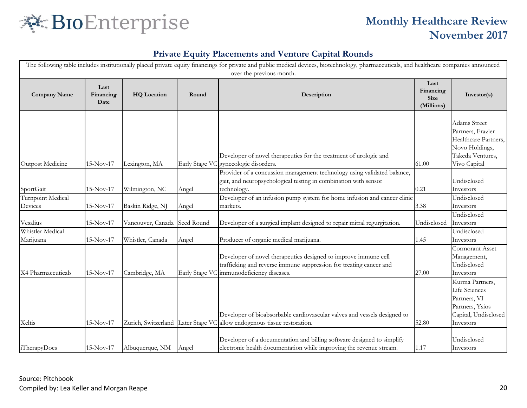

|                               |                           |                                    |                | The following table includes institutionally placed private equity financings for private and public medical devices, biotechnology, pharmaceuticals, and healthcare companies announced<br>over the previous month. |                                                |                                                                                                                        |
|-------------------------------|---------------------------|------------------------------------|----------------|----------------------------------------------------------------------------------------------------------------------------------------------------------------------------------------------------------------------|------------------------------------------------|------------------------------------------------------------------------------------------------------------------------|
| <b>Company Name</b>           | Last<br>Financing<br>Date | <b>HQ</b> Location                 | Round          | Description                                                                                                                                                                                                          | Last<br>Financing<br><b>Size</b><br>(Millions) | Investor(s)                                                                                                            |
| Outpost Medicine              | $15-Nov-17$               | Lexington, MA                      | Early Stage VO | Developer of novel therapeutics for the treatment of urologic and<br>gynecologic disorders.                                                                                                                          | 61.00                                          | <b>Adams Street</b><br>Partners, Frazier<br>Healthcare Partners,<br>Novo Holdings,<br>Takeda Ventures,<br>Vivo Capital |
| SportGait                     | $15-Nov-17$               | Wilmington, NC                     | Angel          | Provider of a concussion management technology using validated balance,<br>gait, and neuropsychological testing in combination with sensor<br>technology.                                                            | 0.21                                           | Undisclosed<br>Investors                                                                                               |
| Turnpoint Medical<br>Devices  | 15-Nov-17                 | Baskin Ridge, NJ                   | Angel          | Developer of an infusion pump system for home infusion and cancer clinic<br>markets.                                                                                                                                 | 3.38                                           | Undisclosed<br>Investors                                                                                               |
| Vesalius                      | $15-Nov-17$               | Vancouver, Canada                  | Seed Round     | Developer of a surgical implant designed to repair mitral regurgitation.                                                                                                                                             | Undisclosed                                    | Undisclosed<br>Investors                                                                                               |
| Whistler Medical<br>Marijuana | $15-Nov-17$               | Whistler, Canada                   | Angel          | Producer of organic medical marijuana.                                                                                                                                                                               | 1.45                                           | Undisclosed<br>Investors                                                                                               |
| X4 Pharmaceuticals            | $15-Nov-17$               | Cambridge, MA                      | Early Stage VO | Developer of novel therapeutics designed to improve immune cell<br>trafficking and reverse immune suppression for treating cancer and<br>immunodeficiency diseases.                                                  | 27.00                                          | Cormorant Asset<br>Management,<br>Undisclosed<br>Investors                                                             |
| Xeltis                        | $15-Nov-17$               | Zurich, Switzerland Later Stage VC |                | Developer of bioabsorbable cardiovascular valves and vessels designed to<br>allow endogenous tissue restoration.                                                                                                     | 52.80                                          | Kurma Partners,<br>Life Sciences<br>Partners, VI<br>Partners, Ysios<br>Capital, Undisclosed<br>Investors               |
| <i>i</i> TherapyDocs          | $15-Nov-17$               | Albuquerque, NM                    | Angel          | Developer of a documentation and billing software designed to simplify<br>electronic health documentation while improving the revenue stream.                                                                        | 1.17                                           | Undisclosed<br>Investors                                                                                               |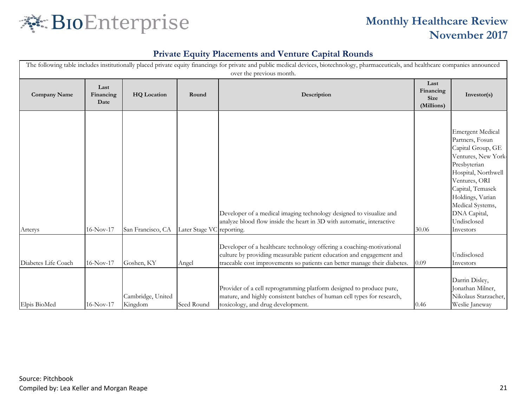

|                     |                           |                              |                           | The following table includes institutionally placed private equity financings for private and public medical devices, biotechnology, pharmaceuticals, and healthcare companies announced<br>over the previous month.       |                                                |                                                                                                                                                                                                                                                        |
|---------------------|---------------------------|------------------------------|---------------------------|----------------------------------------------------------------------------------------------------------------------------------------------------------------------------------------------------------------------------|------------------------------------------------|--------------------------------------------------------------------------------------------------------------------------------------------------------------------------------------------------------------------------------------------------------|
| <b>Company Name</b> | Last<br>Financing<br>Date | <b>HQ</b> Location           | Round                     | Description                                                                                                                                                                                                                | Last<br>Financing<br><b>Size</b><br>(Millions) | Investor(s)                                                                                                                                                                                                                                            |
| Arterys             | $16-Nov-17$               | San Francisco, CA            | Later Stage VC reporting. | Developer of a medical imaging technology designed to visualize and<br>analyze blood flow inside the heart in 3D with automatic, interactive                                                                               | 30.06                                          | <b>Emergent Medical</b><br>Partners, Fosun<br>Capital Group, GE<br>Ventures, New York-<br>Presbyterian<br>Hospital, Northwell<br>Ventures, ORI<br>Capital, Temasek<br>Holdings, Varian<br>Medical Systems,<br>DNA Capital,<br>Undisclosed<br>Investors |
| Diabetes Life Coach | $16-Nov-17$               | Goshen, KY                   | Angel                     | Developer of a healthcare technology offering a coaching-motivational<br>culture by providing measurable patient education and engagement and<br>traceable cost improvements so patients can better manage their diabetes. | 0.09                                           | Undisclosed<br>Investors                                                                                                                                                                                                                               |
| Elpis BioMed        | $16-Nov-17$               | Cambridge, United<br>Kingdom | Seed Round                | Provider of a cell reprogramming platform designed to produce pure,<br>mature, and highly consistent batches of human cell types for research,<br>toxicology, and drug development.                                        | 0.46                                           | Darrin Disley,<br>Jonathan Milner,<br>Nikolaus Starzacher,<br>Weslie Janeway                                                                                                                                                                           |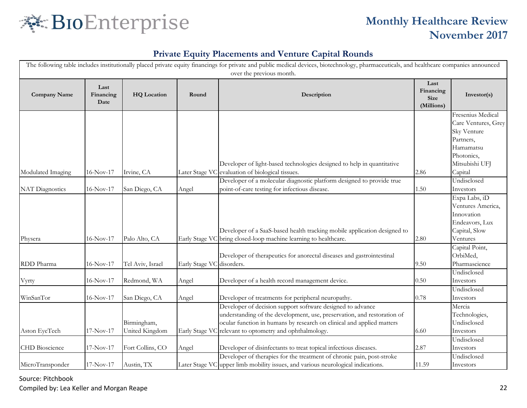

#### **Private Equity Placements and Venture Capital Rounds**

| The following table includes institutionally placed private equity financings for private and public medical devices, biotechnology, pharmaceuticals, and healthcare companies announced<br>over the previous month. |                           |                               |                           |                                                                                                                                                                                                                                                                           |                                                |                                                                                                                   |  |  |  |
|----------------------------------------------------------------------------------------------------------------------------------------------------------------------------------------------------------------------|---------------------------|-------------------------------|---------------------------|---------------------------------------------------------------------------------------------------------------------------------------------------------------------------------------------------------------------------------------------------------------------------|------------------------------------------------|-------------------------------------------------------------------------------------------------------------------|--|--|--|
| <b>Company Name</b>                                                                                                                                                                                                  | Last<br>Financing<br>Date | <b>HQ</b> Location            | Round                     | Description                                                                                                                                                                                                                                                               | Last<br>Financing<br><b>Size</b><br>(Millions) | Investor(s)                                                                                                       |  |  |  |
|                                                                                                                                                                                                                      |                           |                               |                           | Developer of light-based technologies designed to help in quantitative                                                                                                                                                                                                    |                                                | Fresenius Medical<br>Care Ventures, Grey<br>Sky Venture<br>Partners,<br>Hamamatsu<br>Photonics,<br>Mitsubishi UFJ |  |  |  |
| Modulated Imaging                                                                                                                                                                                                    | 16-Nov-17                 | Irvine, CA                    |                           | Later Stage VC evaluation of biological tissues.<br>Developer of a molecular diagnostic platform designed to provide true                                                                                                                                                 | 2.86                                           | Capital<br>Undisclosed                                                                                            |  |  |  |
| <b>NAT Diagnostics</b>                                                                                                                                                                                               | 16-Nov-17                 | San Diego, CA                 | Angel                     | point-of-care testing for infectious disease.                                                                                                                                                                                                                             | 1.50                                           | Investors                                                                                                         |  |  |  |
| Physera                                                                                                                                                                                                              | $16-Nov-17$               | Palo Alto, CA                 |                           | Developer of a SaaS-based health tracking mobile application designed to<br>Early Stage VC bring closed-loop machine learning to healthcare.                                                                                                                              | 2.80                                           | Expa Labs, iD<br>Ventures America,<br>Innovation<br>Endeavors, Lux<br>Capital, Slow<br>Ventures                   |  |  |  |
| RDD Pharma                                                                                                                                                                                                           | 16-Nov-17                 | Tel Aviv, Israel              | Early Stage VC disorders. | Developer of therapeutics for anorectal diseases and gastrointestinal                                                                                                                                                                                                     | 9.50                                           | Capital Point,<br>OrbiMed,<br>Pharmascience                                                                       |  |  |  |
| Vyrty                                                                                                                                                                                                                | 16-Nov-17                 | Redmond, WA                   | Angel                     | Developer of a health record management device.                                                                                                                                                                                                                           | 0.50                                           | Undisclosed<br>Investors                                                                                          |  |  |  |
| WinSanTor                                                                                                                                                                                                            | $16-Nov-17$               | San Diego, CA                 | Angel                     | Developer of treatments for peripheral neuropathy.                                                                                                                                                                                                                        | 0.78                                           | Undisclosed<br>Investors                                                                                          |  |  |  |
| Aston EyeTech                                                                                                                                                                                                        | 17-Nov-17                 | Birmingham,<br>United Kingdom |                           | Developer of decision support software designed to advance<br>understanding of the development, use, preservation, and restoration of<br>ocular function in humans by research on clinical and applied matters<br>Early Stage VC relevant to optometry and ophthalmology. | 6.60                                           | Mercia<br>Technologies,<br>Undisclosed<br>Investors                                                               |  |  |  |
| <b>CHD</b> Bioscience                                                                                                                                                                                                | $17-Nov-17$               | Fort Collins, CO              | Angel                     | Developer of disinfectants to treat topical infectious diseases.                                                                                                                                                                                                          | 2.87                                           | Undisclosed<br>Investors                                                                                          |  |  |  |
| MicroTransponder                                                                                                                                                                                                     | $17-Nov-17$               | Austin, TX                    |                           | Developer of therapies for the treatment of chronic pain, post-stroke<br>Later Stage VC upper limb mobility issues, and various neurological indications.                                                                                                                 | 11.59                                          | Undisclosed<br>Investors                                                                                          |  |  |  |

Source: Pitchbook

Compiled by: Lea Keller and Morgan Reape 22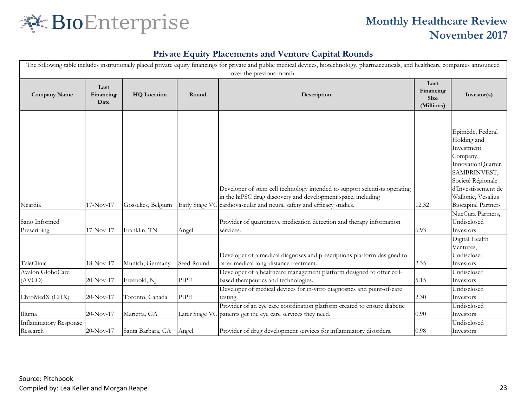

| The following table includes institutionally placed private equity financings for private and public medical devices, biotechnology, pharmaceuticals, and healthcare companies announced<br>over the previous month. |                           |                                 |            |                                                                                                                                                                                                                                 |                                         |                                                                                                                                                                                                 |  |  |
|----------------------------------------------------------------------------------------------------------------------------------------------------------------------------------------------------------------------|---------------------------|---------------------------------|------------|---------------------------------------------------------------------------------------------------------------------------------------------------------------------------------------------------------------------------------|-----------------------------------------|-------------------------------------------------------------------------------------------------------------------------------------------------------------------------------------------------|--|--|
| <b>Company Name</b>                                                                                                                                                                                                  | Last<br>Financing<br>Date | <b>HQ</b> Location              | Round      | Description                                                                                                                                                                                                                     | Last<br>Financing<br>Size<br>(Millions) | Investor(s)                                                                                                                                                                                     |  |  |
| Ncardia                                                                                                                                                                                                              | $17-Nov-17$               | Gosselies, Belgium              |            | Developer of stem cell technology intended to support scientists operating<br>in the hiPSC drug discovery and development space, including<br>Early Stage VC cardiovascular and neural safety and efficacy studies.             | 12.32                                   | Epimède, Federal<br>Holding and<br>Investment<br>Company,<br>InnovationQuarter,<br>SAMBRINVEST,<br>Société Régionale<br>d'Investissement de<br>Wallonie, Vesalius<br><b>Biocapital Partners</b> |  |  |
| Sano Informed<br>Prescribing                                                                                                                                                                                         | $17-Nov-17$               | Franklin, TN                    | Angel      | Provider of quantitative medication detection and therapy information<br>services.                                                                                                                                              | 6.93                                    | NueCura Partners,<br>Undisclosed<br>Investors                                                                                                                                                   |  |  |
| TeleClinic                                                                                                                                                                                                           | 18-Nov-17                 | Munich, Germany                 | Seed Round | Developer of a medical diagnoses and prescriptions platform designed to<br>offer medical long-distance treatment.                                                                                                               | 2.35                                    | Digital Health<br>Ventures,<br>Undisclosed<br>Investors                                                                                                                                         |  |  |
| Avalon GloboCare<br>(AVCO)                                                                                                                                                                                           | 20-Nov-17                 | Freehold, NJ                    | PIPE       | Developer of a healthcare management platform designed to offer cell-<br>based therapeutics and technologies.                                                                                                                   | 5.15                                    | Undisclosed<br>Investors                                                                                                                                                                        |  |  |
| ChroMedX (CHX)<br>Illuma                                                                                                                                                                                             | $20-Nov-17$<br>20-Nov-17  | Toronto, Canada<br>Marietta, GA | PIPE       | Developer of medical devices for in-vitro diagnostics and point-of-care<br>testing.<br>Provider of an eye care coordination platform created to ensure diabetic<br>Later Stage VC patients get the eye care services they need. | 2.30<br>0.90                            | Undisclosed<br>Investors<br>Undisclosed<br>Investors                                                                                                                                            |  |  |
| <b>Inflammatory Response</b><br>Research                                                                                                                                                                             | 20-Nov-17                 | Santa Barbara, CA               | Angel      | Provider of drug development services for inflammatory disorders.                                                                                                                                                               | 0.98                                    | Undisclosed<br>Investors                                                                                                                                                                        |  |  |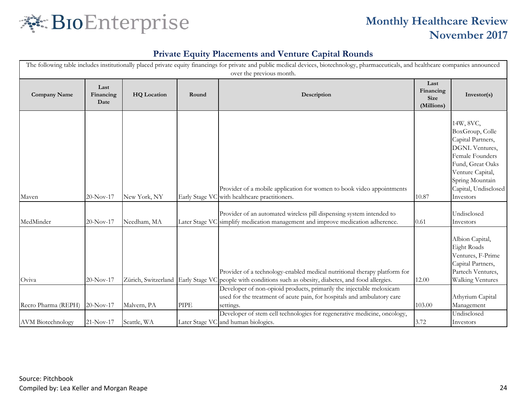

| The following table includes institutionally placed private equity financings for private and public medical devices, biotechnology, pharmaceuticals, and healthcare companies announced<br>over the previous month. |                           |                     |             |                                                                                                                                                                   |                                                |                                                                                                                                                                                               |  |  |
|----------------------------------------------------------------------------------------------------------------------------------------------------------------------------------------------------------------------|---------------------------|---------------------|-------------|-------------------------------------------------------------------------------------------------------------------------------------------------------------------|------------------------------------------------|-----------------------------------------------------------------------------------------------------------------------------------------------------------------------------------------------|--|--|
| <b>Company Name</b>                                                                                                                                                                                                  | Last<br>Financing<br>Date | <b>HQ</b> Location  | Round       | Description                                                                                                                                                       | Last<br>Financing<br><b>Size</b><br>(Millions) | Investor(s)                                                                                                                                                                                   |  |  |
| Maven                                                                                                                                                                                                                | $20-Nov-17$               | New York, NY        |             | Provider of a mobile application for women to book video appointments<br>Early Stage VC with healthcare practitioners.                                            | 10.87                                          | 14W, 8VC,<br>BoxGroup, Colle<br>Capital Partners,<br><b>DGNL</b> Ventures,<br>Female Founders<br>Fund, Great Oaks<br>Venture Capital,<br>Spring Mountain<br>Capital, Undisclosed<br>Investors |  |  |
| MedMinder                                                                                                                                                                                                            | $20-Nov-17$               | Needham, MA         |             | Provider of an automated wireless pill dispensing system intended to<br>Later Stage VC simplify medication management and improve medication adherence.           | 0.61                                           | Undisclosed<br>Investors                                                                                                                                                                      |  |  |
| Oviva                                                                                                                                                                                                                | 20-Nov-17                 | Zürich, Switzerland |             | Provider of a technology-enabled medical nutritional therapy platform for<br>Early Stage VC people with conditions such as obesity, diabetes, and food allergies. | 12.00                                          | Albion Capital,<br>Eight Roads<br>Ventures, F-Prime<br>Capital Partners,<br>Partech Ventures,<br><b>Walking Ventures</b>                                                                      |  |  |
| Recro Pharma (REPH)                                                                                                                                                                                                  | $20-Nov-17$               | Malvern, PA         | <b>PIPE</b> | Developer of non-opioid products, primarily the injectable meloxicam<br>used for the treatment of acute pain, for hospitals and ambulatory care<br>settings.      | 103.00                                         | Athyrium Capital<br>Management                                                                                                                                                                |  |  |
| <b>AVM</b> Biotechnology                                                                                                                                                                                             | 21-Nov-17                 | Seattle, WA         |             | Developer of stem cell technologies for regenerative medicine, oncology,<br>Later Stage VC and human biologics.                                                   | 3.72                                           | Undisclosed<br>Investors                                                                                                                                                                      |  |  |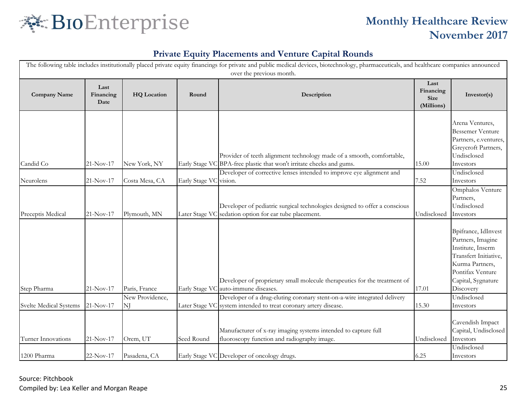

| The following table includes institutionally placed private equity financings for private and public medical devices, biotechnology, pharmaceuticals, and healthcare companies announced<br>over the previous month. |                           |                    |                        |                                                                                                                                               |                                                |                                                                                                                                                                  |  |  |
|----------------------------------------------------------------------------------------------------------------------------------------------------------------------------------------------------------------------|---------------------------|--------------------|------------------------|-----------------------------------------------------------------------------------------------------------------------------------------------|------------------------------------------------|------------------------------------------------------------------------------------------------------------------------------------------------------------------|--|--|
| <b>Company Name</b>                                                                                                                                                                                                  | Last<br>Financing<br>Date | <b>HQ</b> Location | Round                  | Description                                                                                                                                   | Last<br>Financing<br><b>Size</b><br>(Millions) | Investor(s)                                                                                                                                                      |  |  |
| Candid Co                                                                                                                                                                                                            | 21-Nov-17                 | New York, NY       |                        | Provider of teeth alignment technology made of a smooth, comfortable,<br>Early Stage VC BPA-free plastic that won't irritate cheeks and gums. | 15.00                                          | Arena Ventures,<br><b>Bessemer Venture</b><br>Partners, e.ventures,<br>Greycroft Partners,<br>Undisclosed<br>Investors                                           |  |  |
| Neurolens                                                                                                                                                                                                            | 21-Nov-17                 | Costa Mesa, CA     | Early Stage VC vision. | Developer of corrective lenses intended to improve eye alignment and                                                                          | 7.52                                           | Undisclosed<br>Investors                                                                                                                                         |  |  |
| Preceptis Medical                                                                                                                                                                                                    | 21-Nov-17                 | Plymouth, MN       | Later Stage VC         | Developer of pediatric surgical technologies designed to offer a conscious<br>sedation option for ear tube placement.                         | Undisclosed                                    | Omphalos Venture<br>Partners,<br>Undisclosed<br>Investors                                                                                                        |  |  |
| Step Pharma                                                                                                                                                                                                          | $21-Nov-17$               | Paris, France      |                        | Developer of proprietary small molecule therapeutics for the treatment of<br>Early Stage VC auto-immune diseases.                             | 17.01                                          | Bpifrance, IdInvest<br>Partners, Imagine<br>Institute, Inserm<br>Transfert Initiative,<br>Kurma Partners,<br>Pontifax Venture<br>Capital, Sygnature<br>Discovery |  |  |
|                                                                                                                                                                                                                      |                           | New Providence,    |                        | Developer of a drug-eluting coronary stent-on-a-wire integrated delivery                                                                      |                                                | Undisclosed                                                                                                                                                      |  |  |
| Svelte Medical Systems                                                                                                                                                                                               | 21-Nov-17                 | NJ                 |                        | Later Stage VC system intended to treat coronary artery disease.                                                                              | 15.30                                          | Investors                                                                                                                                                        |  |  |
| Turner Innovations                                                                                                                                                                                                   | 21-Nov-17                 | Orem, UT           | Seed Round             | Manufacturer of x-ray imaging systems intended to capture full<br>fluoroscopy function and radiography image.                                 | Undisclosed                                    | Cavendish Impact<br>Capital, Undisclosed<br>Investors                                                                                                            |  |  |
| 1200 Pharma                                                                                                                                                                                                          | 22-Nov-17                 | Pasadena, CA       |                        | Early Stage VC Developer of oncology drugs.                                                                                                   | 6.25                                           | Undisclosed<br>Investors                                                                                                                                         |  |  |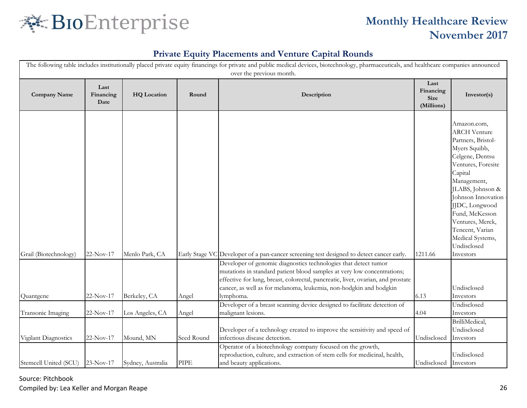

#### **Private Equity Placements and Venture Capital Rounds**

| The following table includes institutionally placed private equity financings for private and public medical devices, biotechnology, pharmaceuticals, and healthcare companies announced |                           |                    |             |                                                                                                                                                                                                                                                                                                                   |                                                |                                                                                                                                                                                                                                                                                                                   |  |  |
|------------------------------------------------------------------------------------------------------------------------------------------------------------------------------------------|---------------------------|--------------------|-------------|-------------------------------------------------------------------------------------------------------------------------------------------------------------------------------------------------------------------------------------------------------------------------------------------------------------------|------------------------------------------------|-------------------------------------------------------------------------------------------------------------------------------------------------------------------------------------------------------------------------------------------------------------------------------------------------------------------|--|--|
| <b>Company Name</b>                                                                                                                                                                      | Last<br>Financing<br>Date | <b>HQ</b> Location | Round       | over the previous month.<br>Description                                                                                                                                                                                                                                                                           | Last<br>Financing<br><b>Size</b><br>(Millions) | Investor(s)                                                                                                                                                                                                                                                                                                       |  |  |
| Grail (Biotechnology)                                                                                                                                                                    | 22-Nov-17                 | Menlo Park, CA     |             | Early Stage VC Developer of a pan-cancer screening test designed to detect cancer early.                                                                                                                                                                                                                          | 1211.66                                        | Amazon.com,<br><b>ARCH Venture</b><br>Partners, Bristol-<br>Myers Squibb,<br>Celgene, Dentsu<br>Ventures, Foresite<br>Capital<br>Management,<br>JLABS, Johnson &<br>Johnson Innovation<br>JJDC, Longwood<br>Fund, McKesson<br>Ventures, Merck,<br>Tencent, Varian<br>Medical Systems,<br>Undisclosed<br>Investors |  |  |
| Quantgene                                                                                                                                                                                | 22-Nov-17                 | Berkeley, CA       | Angel       | Developer of genomic diagnostics technologies that detect tumor<br>mutations in standard patient blood samples at very low concentrations;<br>effective for lung, breast, colorectal, pancreatic, liver, ovarian, and prostate<br>cancer, as well as for melanoma, leukemia, non-hodgkin and hodgkin<br>lymphoma. | 6.13                                           | Undisclosed<br>Investors                                                                                                                                                                                                                                                                                          |  |  |
|                                                                                                                                                                                          |                           |                    |             | Developer of a breast scanning device designed to facilitate detection of                                                                                                                                                                                                                                         |                                                | Undisclosed                                                                                                                                                                                                                                                                                                       |  |  |
| Transonic Imaging                                                                                                                                                                        | $22-Nov-17$               | Los Angeles, CA    | Angel       | malignant lesions.<br>Developer of a technology created to improve the sensitivity and speed of                                                                                                                                                                                                                   | 4.04                                           | Investors<br>BrilliMedical,<br>Undisclosed                                                                                                                                                                                                                                                                        |  |  |
| Vigilant Diagnostics                                                                                                                                                                     | 22-Nov-17                 | Mound, MN          | Seed Round  | infectious disease detection.<br>Operator of a biotechnology company focused on the growth,                                                                                                                                                                                                                       | Undisclosed                                    | Investors                                                                                                                                                                                                                                                                                                         |  |  |
| Stemcell United (SCU) 23-Nov-17                                                                                                                                                          |                           | Sydney, Australia  | <b>PIPE</b> | reproduction, culture, and extraction of stem cells for medicinal, health,<br>and beauty applications.                                                                                                                                                                                                            | Undisclosed Investors                          | Undisclosed                                                                                                                                                                                                                                                                                                       |  |  |

Source: Pitchbook Compiled by: Lea Keller and Morgan Reape 26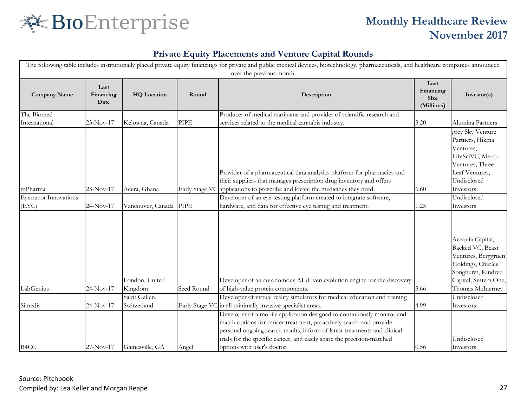

|                                       | The following table includes institutionally placed private equity financings for private and public medical devices, biotechnology, pharmaceuticals, and healthcare companies announced<br>over the previous month. |                              |             |                                                                                                                                                                                                                                                                                                                                    |                                                |                                                                                                                                                    |  |  |  |
|---------------------------------------|----------------------------------------------------------------------------------------------------------------------------------------------------------------------------------------------------------------------|------------------------------|-------------|------------------------------------------------------------------------------------------------------------------------------------------------------------------------------------------------------------------------------------------------------------------------------------------------------------------------------------|------------------------------------------------|----------------------------------------------------------------------------------------------------------------------------------------------------|--|--|--|
| <b>Company Name</b>                   | Last<br>Financing<br>Date                                                                                                                                                                                            | <b>HQ</b> Location           | Round       | Description                                                                                                                                                                                                                                                                                                                        | Last<br>Financing<br><b>Size</b><br>(Millions) | Investor(s)                                                                                                                                        |  |  |  |
| The Biomed<br>International           | 23-Nov-17                                                                                                                                                                                                            | Kelowna, Canada              | <b>PIPE</b> | Producer of medical marijuana and provider of scientific research and<br>services related to the medical cannabis industry.                                                                                                                                                                                                        | 3.20                                           | Alumina Partners                                                                                                                                   |  |  |  |
| mPharma                               | 23-Nov-17                                                                                                                                                                                                            | Accra, Ghana                 |             | Provider of a pharmaceutical data analytics platform for pharmacies and<br>their suppliers that manages prescription drug inventory and offers<br>Early Stage VC applications to prescribe and locate the medicines they need.                                                                                                     | 6.60                                           | grey Sky Venture<br>Partners, Hikma<br>Ventures,<br>LifeSciVC, Merck<br>Ventures, Three<br>Leaf Ventures,<br>Undisclosed<br>Investors              |  |  |  |
| <b>Eyecarrot Innovations</b><br>(EYC) | 24-Nov-17                                                                                                                                                                                                            | Vancouver, Canada            | <b>PIPE</b> | Developer of an eye testing platform created to integrate software,<br>hardware, and data for effective eye testing and treatment.                                                                                                                                                                                                 | 1.25                                           | Undisclosed<br>Investors                                                                                                                           |  |  |  |
| LabGenius                             | 24-Nov-17                                                                                                                                                                                                            | London, United<br>Kingdom    | Seed Round  | Developer of an autonomous AI-driven evolution engine for the discovery<br>of high-value protein components.                                                                                                                                                                                                                       | 3.66                                           | Acequia Capital,<br>Backed VC, Beast<br>Ventures, Berggruen<br>Holdings, Charles<br>Songhurst, Kindred<br>Capital, System.One,<br>Thomas McInerney |  |  |  |
| Simedis                               | $24-Nov-17$                                                                                                                                                                                                          | Saint Gallen,<br>Switzerland |             | Developer of virtual reality simulators for medical education and training<br>Early Stage VC in all minimally invasive specialist areas.                                                                                                                                                                                           | 4.99                                           | Undisclosed<br>Investors                                                                                                                           |  |  |  |
| B <sub>4</sub> CC                     | 27-Nov-17                                                                                                                                                                                                            | Gainesville, GA              | Angel       | Developer of a mobile application designed to continuously monitor and<br>match options for cancer treatment, proactively search and provide<br>personal ongoing search results, inform of latest treatments and clinical<br>trials for the specific cancer, and easily share the precision-matched<br>options with user's doctor. | 0.56                                           | Undisclosed<br>Investors                                                                                                                           |  |  |  |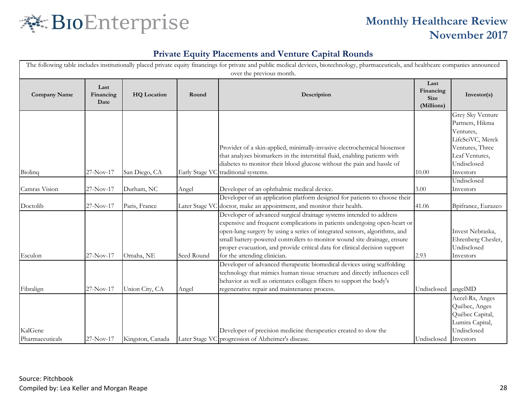

| The following table includes institutionally placed private equity financings for private and public medical devices, biotechnology, pharmaceuticals, and healthcare companies announced<br>over the previous month. |                           |                             |            |                                                                                                                                                                                                                                                                                                                                                                                                                          |                                         |                                                                                                                                       |  |
|----------------------------------------------------------------------------------------------------------------------------------------------------------------------------------------------------------------------|---------------------------|-----------------------------|------------|--------------------------------------------------------------------------------------------------------------------------------------------------------------------------------------------------------------------------------------------------------------------------------------------------------------------------------------------------------------------------------------------------------------------------|-----------------------------------------|---------------------------------------------------------------------------------------------------------------------------------------|--|
| <b>Company Name</b>                                                                                                                                                                                                  | Last<br>Financing<br>Date | <b>HQ</b> Location          | Round      | Description                                                                                                                                                                                                                                                                                                                                                                                                              | Last<br>Financing<br>Size<br>(Millions) | Investor(s)                                                                                                                           |  |
| Biolinq                                                                                                                                                                                                              | 27-Nov-17                 | San Diego, CA               |            | Provider of a skin-applied, minimally-invasive electrochemical biosensor<br>that analyzes biomarkers in the interstitial fluid, enabling patients with<br>diabetes to monitor their blood glucose without the pain and hassle of<br>Early Stage VC traditional systems.                                                                                                                                                  | 10.00                                   | Grey Sky Venture<br>Partners, Hikma<br>Ventures,<br>LifeSciVC, Merck<br>Ventures, Three<br>Leaf Ventures,<br>Undisclosed<br>Investors |  |
| Camras Vision                                                                                                                                                                                                        | 27-Nov-17                 |                             |            |                                                                                                                                                                                                                                                                                                                                                                                                                          | 3.00                                    | Undisclosed                                                                                                                           |  |
| Doctolib                                                                                                                                                                                                             | 27-Nov-17                 | Durham, NC<br>Paris, France | Angel      | Developer of an ophthalmic medical device.<br>Developer of an application platform designed for patients to choose their<br>Later Stage VC doctor, make an appointment, and monitor their health.                                                                                                                                                                                                                        | 41.06                                   | Investors<br>Bpifrance, Eurazeo                                                                                                       |  |
| Esculon                                                                                                                                                                                                              | 27-Nov-17                 | Omaha, NE                   | Seed Round | Developer of advanced surgical drainage systems intended to address<br>expensive and frequent complications in patients undergoing open-heart or<br>open-lung surgery by using a series of integrated sensors, algorithms, and<br>small battery-powered controllers to monitor wound site drainage, ensure<br>proper evacuation, and provide critical data for clinical decision support<br>for the attending clinician. | 2.93                                    | Invest Nebraska,<br>Ehrenberg Chesler,<br>Undisclosed<br>Investors                                                                    |  |
| Fibralign                                                                                                                                                                                                            | 27-Nov-17                 | Union City, CA              | Angel      | Developer of advanced therapeutic biomedical devices using scaffolding<br>technology that mimics human tissue structure and directly influences cell<br>behavior as well as orientates collagen fibers to support the body's<br>regenerative repair and maintenance process.                                                                                                                                             | Undisclosed                             | angelMD                                                                                                                               |  |
| KalGene<br>Pharmaceuticals                                                                                                                                                                                           | 27-Nov-17                 | Kingston, Canada            |            | Developer of precision medicine therapeutics created to slow the<br>Later Stage VC progression of Alzheimer's disease.                                                                                                                                                                                                                                                                                                   | Undisclosed                             | Accel-Rx, Anges<br>Québec, Anges<br>Québec Capital,<br>Lumira Capital,<br>Undisclosed<br>Investors                                    |  |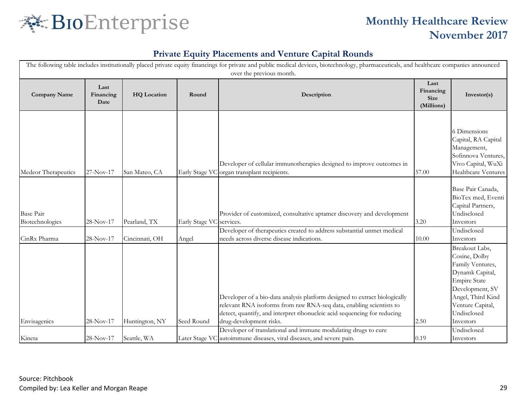

| The following table includes institutionally placed private equity financings for private and public medical devices, biotechnology, pharmaceuticals, and healthcare companies announced<br>over the previous month. |                           |                    |                          |                                                                                                                                                                                                                                                          |                                         |                                                                                                                                                                                       |  |  |
|----------------------------------------------------------------------------------------------------------------------------------------------------------------------------------------------------------------------|---------------------------|--------------------|--------------------------|----------------------------------------------------------------------------------------------------------------------------------------------------------------------------------------------------------------------------------------------------------|-----------------------------------------|---------------------------------------------------------------------------------------------------------------------------------------------------------------------------------------|--|--|
| <b>Company Name</b>                                                                                                                                                                                                  | Last<br>Financing<br>Date | <b>HQ</b> Location | Round                    | Description                                                                                                                                                                                                                                              | Last<br>Financing<br>Size<br>(Millions) | Investor(s)                                                                                                                                                                           |  |  |
| Medeor Therapeutics                                                                                                                                                                                                  | 27-Nov-17                 | San Mateo, CA      | Early Stage VO           | Developer of cellular immunotherapies designed to improve outcomes in<br>organ transplant recipients.                                                                                                                                                    | 57.00                                   | 6 Dimensions<br>Capital, RA Capital<br>Management,<br>Sofinnova Ventures,<br>Vivo Capital, WuXi<br>Healthcare Ventures                                                                |  |  |
| Base Pair<br>Biotechnologies                                                                                                                                                                                         | 28-Nov-17                 | Pearland, TX       | Early Stage VC services. | Provider of customized, consultative aptamer discovery and development                                                                                                                                                                                   | 3.20                                    | Base Pair Canada,<br>BioTex med, Eventi<br>Capital Partners,<br>Undisclosed<br>Investors                                                                                              |  |  |
| CinRx Pharma                                                                                                                                                                                                         | 28-Nov-17                 | Cincinnati, OH     | Angel                    | Developer of therapeutics created to address substantial unmet medical<br>needs across diverse disease indications.                                                                                                                                      | 10.00                                   | Undisclosed<br>Investors                                                                                                                                                              |  |  |
| Envisagenics                                                                                                                                                                                                         | 28-Nov-17                 | Huntington, NY     | Seed Round               | Developer of a bio-data analysis platform designed to extract biologically<br>relevant RNA isoforms from raw RNA-seq data, enabling scientists to<br>detect, quantify, and interpret ribonucleic acid sequencing for reducing<br>drug-development risks. | 2.50                                    | Breakout Labs,<br>Cosine, Dolby<br>Family Ventures,<br>Dynamk Capital,<br><b>Empire State</b><br>Development, SV<br>Angel, Third Kind<br>Venture Capital,<br>Undisclosed<br>Investors |  |  |
| Kineta                                                                                                                                                                                                               | 28-Nov-17                 | Seattle, WA        |                          | Developer of translational and immune modulating drugs to cure<br>Later Stage VC autoimmune diseases, viral diseases, and severe pain.                                                                                                                   | 0.19                                    | Undisclosed<br>Investors                                                                                                                                                              |  |  |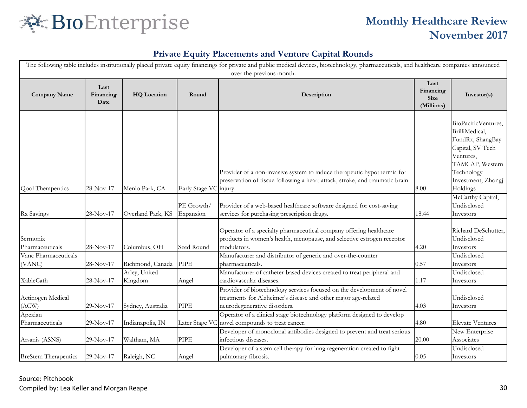

| The following table includes institutionally placed private equity financings for private and public medical devices, biotechnology, pharmaceuticals, and healthcare companies announced<br>over the previous month. |             |                          |                        |                                                                                                                                                                          |             |                                                                                                                                                    |  |  |
|----------------------------------------------------------------------------------------------------------------------------------------------------------------------------------------------------------------------|-------------|--------------------------|------------------------|--------------------------------------------------------------------------------------------------------------------------------------------------------------------------|-------------|----------------------------------------------------------------------------------------------------------------------------------------------------|--|--|
| Last<br><b>Company Name</b><br>Financing<br><b>HQ</b> Location<br>Date                                                                                                                                               |             | Round                    | Description            | Last<br>Financing<br><b>Size</b><br>(Millions)                                                                                                                           | Investor(s) |                                                                                                                                                    |  |  |
|                                                                                                                                                                                                                      |             | Menlo Park, CA           |                        | Provider of a non-invasive system to induce therapeutic hypothermia for<br>preservation of tissue following a heart attack, stroke, and traumatic brain                  | 8.00        | BioPacificVentures,<br>BrilliMedical,<br>FundRx, ShangBay<br>Capital, SV Tech<br>Ventures,<br>TAMCAP, Western<br>Technology<br>Investment, Zhongji |  |  |
| Qool Therapeutics                                                                                                                                                                                                    | 28-Nov-17   |                          | Early Stage VC injury. |                                                                                                                                                                          |             | Holdings<br>McCarthy Capital,                                                                                                                      |  |  |
|                                                                                                                                                                                                                      |             |                          | PE Growth/             | Provider of a web-based healthcare software designed for cost-saving                                                                                                     |             | Undisclosed                                                                                                                                        |  |  |
| Rx Savings                                                                                                                                                                                                           | $28-Nov-17$ | Overland Park, KS        | Expansion              | services for purchasing prescription drugs.                                                                                                                              | 18.44       | Investors                                                                                                                                          |  |  |
| Sermonix<br>Pharmaceuticals                                                                                                                                                                                          | 28-Nov-17   | Columbus, OH             | Seed Round             | Operator of a specialty pharmaceutical company offering healthcare<br>products in women's health, menopause, and selective estrogen receptor<br>modulators.              | 4.20        | Richard DeSchutter,<br>Undisclosed<br>Investors                                                                                                    |  |  |
| Vanc Pharmaceuticals                                                                                                                                                                                                 |             |                          |                        | Manufacturer and distributor of generic and over-the-counter                                                                                                             |             | Undisclosed                                                                                                                                        |  |  |
| (VANC)                                                                                                                                                                                                               | $28-Nov-17$ | Richmond, Canada         | <b>PIPE</b>            | pharmaceuticals.                                                                                                                                                         | 0.57        | Investors                                                                                                                                          |  |  |
| XableCath                                                                                                                                                                                                            | 28-Nov-17   | Arley, United<br>Kingdom | Angel                  | Manufacturer of catheter-based devices created to treat peripheral and<br>cardiovascular diseases.                                                                       | 1.17        | Undisclosed<br>Investors                                                                                                                           |  |  |
| Actinogen Medical<br>(ACW)                                                                                                                                                                                           | 29-Nov-17   | Sydney, Australia        | <b>PIPE</b>            | Provider of biotechnology services focused on the development of novel<br>treatments for Alzheimer's disease and other major age-related<br>neurodegenerative disorders. | 4.03        | Undisclosed<br>Investors                                                                                                                           |  |  |
| Apexian<br>Pharmaceuticals                                                                                                                                                                                           | 29-Nov-17   | Indianapolis, IN         | Later Stage VO         | Operator of a clinical stage biotechnology platform designed to develop<br>novel compounds to treat cancer.                                                              | 4.80        | <b>Elevate Ventures</b>                                                                                                                            |  |  |
| Arsanis (ASNS)                                                                                                                                                                                                       | 29-Nov-17   | Waltham, MA              | <b>PIPE</b>            | Developer of monoclonal antibodies designed to prevent and treat serious<br>infectious diseases.                                                                         | 20.00       | New Enterprise<br>Associates                                                                                                                       |  |  |
| <b>BreStem Therapeutics</b>                                                                                                                                                                                          | 29-Nov-17   | Raleigh, NC              | Angel                  | Developer of a stem cell therapy for lung regeneration created to fight<br>pulmonary fibrosis.                                                                           | 0.05        | Undisclosed<br>Investors                                                                                                                           |  |  |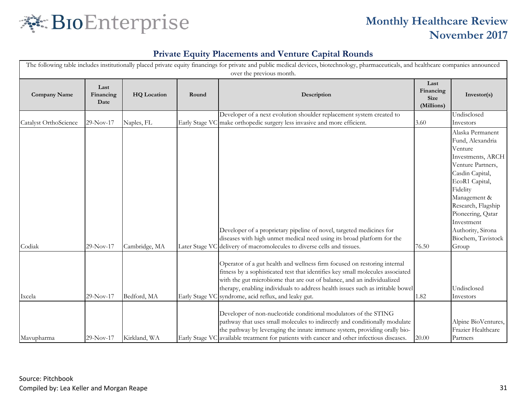

| The following table includes institutionally placed private equity financings for private and public medical devices, biotechnology, pharmaceuticals, and healthcare companies announced<br>over the previous month. |                           |                    |                |                                                                                                                                                                                                                                                                                                                                                                                                                                                                                                                                 |                                                |                                                                                                                                                                                                                                                                         |  |  |
|----------------------------------------------------------------------------------------------------------------------------------------------------------------------------------------------------------------------|---------------------------|--------------------|----------------|---------------------------------------------------------------------------------------------------------------------------------------------------------------------------------------------------------------------------------------------------------------------------------------------------------------------------------------------------------------------------------------------------------------------------------------------------------------------------------------------------------------------------------|------------------------------------------------|-------------------------------------------------------------------------------------------------------------------------------------------------------------------------------------------------------------------------------------------------------------------------|--|--|
| <b>Company Name</b>                                                                                                                                                                                                  | Last<br>Financing<br>Date | <b>HQ</b> Location | Round          | Description                                                                                                                                                                                                                                                                                                                                                                                                                                                                                                                     | Last<br>Financing<br><b>Size</b><br>(Millions) | Investor(s)                                                                                                                                                                                                                                                             |  |  |
|                                                                                                                                                                                                                      |                           |                    |                | Developer of a next evolution shoulder replacement system created to                                                                                                                                                                                                                                                                                                                                                                                                                                                            |                                                | Undisclosed                                                                                                                                                                                                                                                             |  |  |
| Catalyst OrthoScience                                                                                                                                                                                                | $29-Nov-17$               | Naples, FL         | Early Stage VC | make orthopedic surgery less invasive and more efficient.                                                                                                                                                                                                                                                                                                                                                                                                                                                                       | 3.60                                           | Investors                                                                                                                                                                                                                                                               |  |  |
| Codiak                                                                                                                                                                                                               | 29-Nov-17                 | Cambridge, MA      |                | Developer of a proprietary pipeline of novel, targeted medicines for<br>diseases with high unmet medical need using its broad platform for the<br>Later Stage VC delivery of macromolecules to diverse cells and tissues.                                                                                                                                                                                                                                                                                                       | 76.50                                          | Alaska Permanent<br>Fund, Alexandria<br>Venture<br>Investments, ARCH<br>Venture Partners,<br>Casdin Capital,<br>EcoR1 Capital,<br>Fidelity<br>Management &<br>Research, Flagship<br>Pioneering, Qatar<br>Investment<br>Authority, Sirona<br>Biochem, Tavistock<br>Group |  |  |
| Ixcela                                                                                                                                                                                                               | 29-Nov-17                 | Bedford, MA        |                | Operator of a gut health and wellness firm focused on restoring internal<br>fitness by a sophisticated test that identifies key small molecules associated<br>with the gut microbiome that are out of balance, and an individualized<br>therapy, enabling individuals to address health issues such as irritable bowel<br>Early Stage VC syndrome, acid reflux, and leaky gut.<br>Developer of non-nucleotide conditional modulators of the STING<br>pathway that uses small molecules to indirectly and conditionally modulate | 1.82                                           | Undisclosed<br>Investors<br>Alpine BioVentures,                                                                                                                                                                                                                         |  |  |
| Mavupharma                                                                                                                                                                                                           | 29-Nov-17                 | Kirkland, WA       |                | the pathway by leveraging the innate immune system, providing orally bio-<br>Early Stage VC available treatment for patients with cancer and other infectious diseases.                                                                                                                                                                                                                                                                                                                                                         | 20.00                                          | Frazier Healthcare<br>Partners                                                                                                                                                                                                                                          |  |  |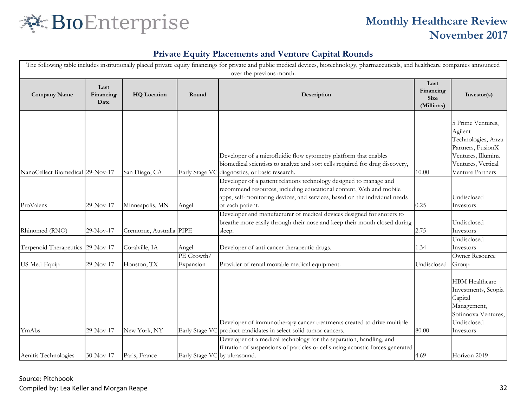

|                                     |           |                                 |                               | The following table includes institutionally placed private equity financings for private and public medical devices, biotechnology, pharmaceuticals, and healthcare companies announced<br>over the previous month.                       |                                                |                                                                                                                                         |
|-------------------------------------|-----------|---------------------------------|-------------------------------|--------------------------------------------------------------------------------------------------------------------------------------------------------------------------------------------------------------------------------------------|------------------------------------------------|-----------------------------------------------------------------------------------------------------------------------------------------|
| Last<br><b>Company Name</b><br>Date |           | Financing<br><b>HQ</b> Location |                               | Description                                                                                                                                                                                                                                | Last<br>Financing<br><b>Size</b><br>(Millions) | Investor(s)                                                                                                                             |
| NanoCellect Biomedical 29-Nov-17    |           | San Diego, CA                   |                               | Developer of a microfluidic flow cytometry platform that enables<br>biomedical scientists to analyze and sort cells required for drug discovery,<br>Early Stage VC diagnostics, or basic research.                                         | 10.00                                          | 5 Prime Ventures,<br>Agilent<br>Technologies, Anzu<br>Partners, FusionX<br>Ventures, Illumina<br>Ventures, Vertical<br>Venture Partners |
| ProValens                           | 29-Nov-17 | Minneapolis, MN                 | Angel                         | Developer of a patient relations technology designed to manage and<br>recommend resources, including educational content, Web and mobile<br>apps, self-monitoring devices, and services, based on the individual needs<br>of each patient. | 0.25                                           | Undisclosed<br>Investors                                                                                                                |
| Rhinomed (RNO)                      | 29-Nov-17 | Cremorne, Australia PIPE        |                               | Developer and manufacturer of medical devices designed for snorers to<br>breathe more easily through their nose and keep their mouth closed during<br>sleep.                                                                               | 2.75                                           | Undisclosed<br>Investors                                                                                                                |
| Terpenoid Therapeutics 29-Nov-17    |           | Coralville, IA                  | Angel                         | Developer of anti-cancer therapeutic drugs.                                                                                                                                                                                                | 1.34                                           | Undisclosed<br>Investors                                                                                                                |
| US Med-Equip                        | 29-Nov-17 | Houston, TX                     | PE Growth/<br>Expansion       | Provider of rental movable medical equipment.                                                                                                                                                                                              | Undisclosed                                    | Owner Resource<br>Group                                                                                                                 |
| YmAbs                               | 29-Nov-17 | New York, NY                    |                               | Developer of immunotherapy cancer treatments created to drive multiple<br>Early Stage VC product candidates in select solid tumor cancers.                                                                                                 | 80.00                                          | <b>HBM Healthcare</b><br>Investments, Scopia<br>Capital<br>Management,<br>Sofinnova Ventures,<br>Undisclosed<br>Investors               |
| Aenitis Technologies                | 30-Nov-17 | Paris, France                   | Early Stage VC by ultrasound. | Developer of a medical technology for the separation, handling, and<br>filtration of suspensions of particles or cells using acoustic forces generated                                                                                     | 4.69                                           | Horizon 2019                                                                                                                            |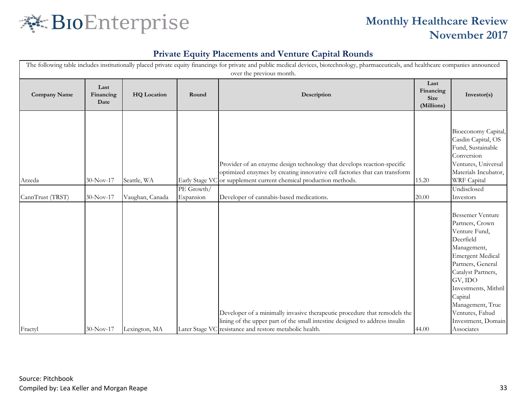

| The following table includes institutionally placed private equity financings for private and public medical devices, biotechnology, pharmaceuticals, and healthcare companies announced<br>over the previous month. |                           |                    |            |                                                                                                                                                                                                                            |                                                |                                                                                                                                                                                                                                                                          |  |  |
|----------------------------------------------------------------------------------------------------------------------------------------------------------------------------------------------------------------------|---------------------------|--------------------|------------|----------------------------------------------------------------------------------------------------------------------------------------------------------------------------------------------------------------------------|------------------------------------------------|--------------------------------------------------------------------------------------------------------------------------------------------------------------------------------------------------------------------------------------------------------------------------|--|--|
| <b>Company Name</b>                                                                                                                                                                                                  | Last<br>Financing<br>Date | <b>HQ</b> Location | Round      | Description                                                                                                                                                                                                                | Last<br>Financing<br><b>Size</b><br>(Millions) | Investor(s)                                                                                                                                                                                                                                                              |  |  |
| Arzeda                                                                                                                                                                                                               | 30-Nov-17                 | Seattle, WA        | PE Growth/ | Provider of an enzyme design technology that develops reaction-specific<br>optimized enzymes by creating innovative cell factories that can transform<br>Early Stage VC or supplement current chemical production methods. | 15.20                                          | Bioeconomy Capital,<br>Casdin Capital, OS<br>Fund, Sustainable<br>Conversion<br>Ventures, Universal<br>Materials Incubator,<br><b>WRF</b> Capital<br>Undisclosed                                                                                                         |  |  |
| CannTrust (TRST)                                                                                                                                                                                                     | 30-Nov-17                 | Vaughan, Canada    | Expansion  | Developer of cannabis-based medications.                                                                                                                                                                                   | 20.00                                          | Investors                                                                                                                                                                                                                                                                |  |  |
|                                                                                                                                                                                                                      |                           |                    |            | Developer of a minimally invasive therapeutic procedure that remodels the<br>lining of the upper part of the small intestine designed to address insulin                                                                   |                                                | <b>Bessemer Venture</b><br>Partners, Crown<br>Venture Fund,<br>Deerfield<br>Management,<br><b>Emergent Medical</b><br>Partners, General<br>Catalyst Partners,<br>GV, IDO<br>Investments, Mithril<br>Capital<br>Management, True<br>Ventures, Fahud<br>Investment, Domain |  |  |
| Fractyl                                                                                                                                                                                                              | 30-Nov-17                 | Lexington, MA      |            | Later Stage VC resistance and restore metabolic health.                                                                                                                                                                    | 44.00                                          | Associates                                                                                                                                                                                                                                                               |  |  |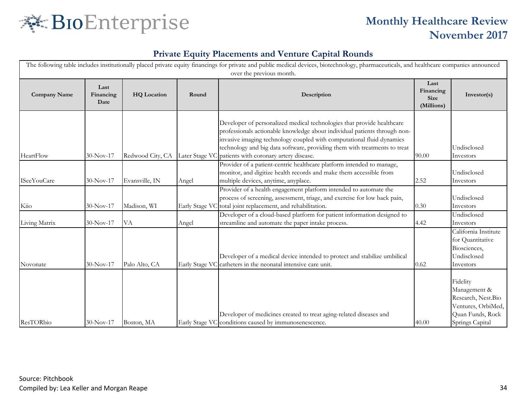

| The following table includes institutionally placed private equity financings for private and public medical devices, biotechnology, pharmaceuticals, and healthcare companies announced<br>over the previous month. |                           |                    |       |                                                                                                                                                                                                                                                                                                                                                                    |                                                |                                                                                                             |  |
|----------------------------------------------------------------------------------------------------------------------------------------------------------------------------------------------------------------------|---------------------------|--------------------|-------|--------------------------------------------------------------------------------------------------------------------------------------------------------------------------------------------------------------------------------------------------------------------------------------------------------------------------------------------------------------------|------------------------------------------------|-------------------------------------------------------------------------------------------------------------|--|
| <b>Company Name</b>                                                                                                                                                                                                  | Last<br>Financing<br>Date | <b>HQ</b> Location | Round | Description                                                                                                                                                                                                                                                                                                                                                        | Last<br>Financing<br><b>Size</b><br>(Millions) | Investor(s)                                                                                                 |  |
| HeartFlow                                                                                                                                                                                                            | 30-Nov-17                 | Redwood City, CA   |       | Developer of personalized medical technologies that provide healthcare<br>professionals actionable knowledge about individual patients through non-<br>invasive imaging technology coupled with computational fluid dynamics<br>technology and big data software, providing them with treatments to treat<br>Later Stage VC patients with coronary artery disease. | 90.00                                          | Undisclosed<br>Investors                                                                                    |  |
| <b>ISeeYouCare</b>                                                                                                                                                                                                   | 30-Nov-17                 | Evansville, IN     | Angel | Provider of a patient-centric healthcare platform intended to manage,<br>monitor, and digitize health records and make them accessible from<br>multiple devices, anytime, anyplace.                                                                                                                                                                                | 2.52                                           | Undisclosed<br>Investors                                                                                    |  |
| Kiio                                                                                                                                                                                                                 | 30-Nov-17                 | Madison, WI        |       | Provider of a health engagement platform intended to automate the<br>process of screening, assessment, triage, and exercise for low back pain,<br>Early Stage VC total joint replacement, and rehabilitation.                                                                                                                                                      | 0.30                                           | Undisclosed<br>Investors                                                                                    |  |
| Living Matrix                                                                                                                                                                                                        | 30-Nov-17                 | VA                 | Angel | Developer of a cloud-based platform for patient information designed to<br>streamline and automate the paper intake process.                                                                                                                                                                                                                                       | 4.42                                           | Undisclosed<br>Investors                                                                                    |  |
| Novonate                                                                                                                                                                                                             | $30-Nov-17$               | Palo Alto, CA      |       | Developer of a medical device intended to protect and stabilize umbilical<br>Early Stage VC catheters in the neonatal intensive care unit.                                                                                                                                                                                                                         | 0.62                                           | California Institute<br>for Quantitative<br>Biosciences,<br>Undisclosed<br>Investors                        |  |
| <b>ResTORbio</b>                                                                                                                                                                                                     | $30-Nov-17$               | Boston, MA         |       | Developer of medicines created to treat aging-related diseases and<br>Early Stage VC conditions caused by immunosenescence.                                                                                                                                                                                                                                        | 40.00                                          | Fidelity<br>Management &<br>Research, Nest.Bio<br>Ventures, OrbiMed,<br>Quan Funds, Rock<br>Springs Capital |  |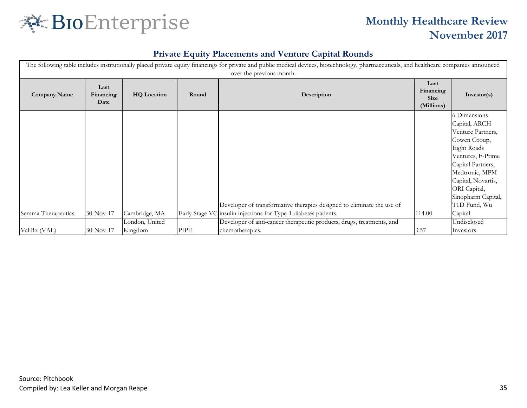

| The following table includes institutionally placed private equity financings for private and public medical devices, biotechnology, pharmaceuticals, and healthcare companies announced<br>over the previous month. |                           |                    |       |                                                                                                                                           |                                                |                                                                                                                                                                                                                                      |  |  |
|----------------------------------------------------------------------------------------------------------------------------------------------------------------------------------------------------------------------|---------------------------|--------------------|-------|-------------------------------------------------------------------------------------------------------------------------------------------|------------------------------------------------|--------------------------------------------------------------------------------------------------------------------------------------------------------------------------------------------------------------------------------------|--|--|
| <b>Company Name</b>                                                                                                                                                                                                  | Last<br>Financing<br>Date | <b>HQ</b> Location | Round | Description                                                                                                                               | Last<br>Financing<br><b>Size</b><br>(Millions) | Investor(s)                                                                                                                                                                                                                          |  |  |
| Semma Therapeutics                                                                                                                                                                                                   | 30-Nov-17                 | Cambridge, MA      |       | Developer of transformative therapies designed to eliminate the use of<br>Early Stage VC insulin injections for Type-1 diabetes patients. | 114.00                                         | 6 Dimensions<br>Capital, ARCH<br>Venture Partners,<br>Cowen Group,<br>Eight Roads<br>Ventures, F-Prime<br>Capital Partners,<br>Medtronic, MPM<br>Capital, Novartis,<br>ORI Capital,<br>Sinopharm Capital,<br>T1D Fund, Wu<br>Capital |  |  |
|                                                                                                                                                                                                                      |                           |                    |       |                                                                                                                                           |                                                |                                                                                                                                                                                                                                      |  |  |
|                                                                                                                                                                                                                      |                           | London, United     |       | Developer of anti-cancer therapeutic products, drugs, treatments, and                                                                     |                                                | Undisclosed                                                                                                                                                                                                                          |  |  |
| ValiRx (VAL)                                                                                                                                                                                                         | $30-Nov-17$               | Kingdom            | PIPE  | chemotherapies.                                                                                                                           | 3.57                                           | Investors                                                                                                                                                                                                                            |  |  |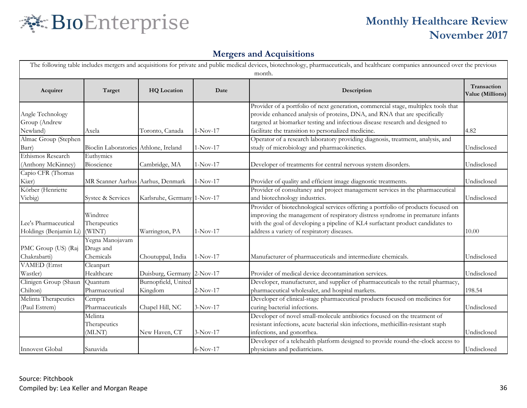

|                                                |                                           |                                |            | The following table includes mergers and acquisitions for private and public medical devices, biotechnology, pharmaceuticals, and healthcare companies announced over the previous<br>month.                                                                                                            |                                 |
|------------------------------------------------|-------------------------------------------|--------------------------------|------------|---------------------------------------------------------------------------------------------------------------------------------------------------------------------------------------------------------------------------------------------------------------------------------------------------------|---------------------------------|
| Acquirer                                       | Target                                    | <b>HQ</b> Location             | Date       | Description                                                                                                                                                                                                                                                                                             | Transaction<br>Value (Millions) |
| Angle Technology<br>Group (Andrew<br>Newland)  | Axela                                     | Toronto, Canada                | $1-Nov-17$ | Provider of a portfolio of next generation, commercial stage, multiplex tools that<br>provide enhanced analysis of proteins, DNA, and RNA that are specifically<br>targeted at biomarker testing and infectious disease research and designed to<br>facilitate the transition to personalized medicine. | 4.82                            |
| Almac Group (Stephen<br>Barr)                  | Bioclin Laboratories Athlone, Ireland     |                                | $1-Nov-17$ | Operator of a research laboratory providing diagnosis, treatment, analysis, and<br>study of microbiology and pharmacokinetics.                                                                                                                                                                          | Undisclosed                     |
| Ethismos Research<br>(Anthony McKinney)        | Euthymics<br>Bioscience                   | Cambridge, MA                  | $1-Nov-17$ | Developer of treatments for central nervous system disorders.                                                                                                                                                                                                                                           | Undisclosed                     |
| Capio CFR (Thomas<br>Kiær)                     | MR Scanner Aarhus Aarhus, Denmark         |                                | $1-Nov-17$ | Provider of quality and efficient image diagnostic treatments.                                                                                                                                                                                                                                          | Undisclosed                     |
| Körber (Henriette<br>Viebig)                   | Systec & Services                         | Karlsruhe, Germany 1-Nov-17    |            | Provider of consultancy and project management services in the pharmaceutical<br>and biotechnology industries.                                                                                                                                                                                          | Undisclosed                     |
| Lee's Pharmaceutical<br>Holdings (Benjamin Li) | Windtree<br>Therapeutics<br>(WINT)        | Warrington, PA                 | $1-Nov-17$ | Provider of biotechnological services offering a portfolio of products focused on<br>improving the management of respiratory distress syndrome in premature infants<br>with the goal of developing a pipeline of KL4 surfactant product candidates to<br>address a variety of respiratory diseases.     | 10.00                           |
| PMC Group (US) (Raj<br>Chakrabarti)            | Yegna Manojavam<br>Drugs and<br>Chemicals | Choutuppal, India              | $1-Nov-17$ | Manufacturer of pharmaceuticals and intermediate chemicals.                                                                                                                                                                                                                                             | Undisclosed                     |
| <b>VAMED</b> (Ernst<br>Wastler)                | Cleanpart<br>Healthcare                   | Duisburg, Germany 2-Nov-17     |            | Provider of medical device decontamination services.                                                                                                                                                                                                                                                    | Undisclosed                     |
| Clinigen Group (Shaun<br>Chilton)              | Ouantum<br>Pharmaceutical                 | Burnopfield, United<br>Kingdom | $2-Nov-17$ | Developer, manufacturer, and supplier of pharmaceuticals to the retail pharmacy,<br>pharmaceutical wholesaler, and hospital markets.                                                                                                                                                                    | 198.54                          |
| Melinta Therapeutics<br>(Paul Estrem)          | Cempra<br>Pharmaceuticals                 | Chapel Hill, NC                | $3-Nov-17$ | Developer of clinical-stage pharmaceutical products focused on medicines for<br>curing bacterial infections.                                                                                                                                                                                            | Undisclosed                     |
|                                                | Melinta<br>Therapeutics<br>(MLNT)         | New Haven, CT                  | $3-Nov-17$ | Developer of novel small-molecule antibiotics focused on the treatment of<br>resistant infections, acute bacterial skin infections, methicillin-resistant staph<br>infections, and gonorrhea.                                                                                                           | Undisclosed                     |
| Innovest Global                                | Sanavida                                  |                                | 6-Nov-17   | Developer of a telehealth platform designed to provide round-the-clock access to<br>physicians and pediatricians.                                                                                                                                                                                       | Undisclosed                     |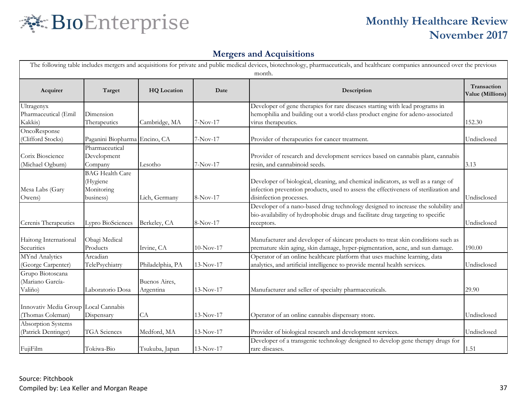

| The following table includes mergers and acquisitions for private and public medical devices, biotechnology, pharmaceuticals, and healthcare companies announced over the previous<br>month. |                                                               |                            |             |                                                                                                                                                                                                      |                                 |  |  |
|----------------------------------------------------------------------------------------------------------------------------------------------------------------------------------------------|---------------------------------------------------------------|----------------------------|-------------|------------------------------------------------------------------------------------------------------------------------------------------------------------------------------------------------------|---------------------------------|--|--|
| Acquirer                                                                                                                                                                                     | Target                                                        | <b>HQ</b> Location         | Date        | Description                                                                                                                                                                                          | Transaction<br>Value (Millions) |  |  |
| Ultragenyx<br>Pharmaceutical (Emil<br>Kakkis)                                                                                                                                                | Dimension<br>Therapeutics                                     | Cambridge, MA              | $7-Nov-17$  | Developer of gene therapies for rare diseases starting with lead programs in<br>hemophilia and building out a world-class product engine for adeno-associated<br>virus therapeutics.                 | 152.30                          |  |  |
| OncoResponse<br>(Clifford Stocks)                                                                                                                                                            | Paganini Biopharma Encino, CA                                 |                            | 7-Nov-17    | Provider of therapeutics for cancer treatment.                                                                                                                                                       | Undisclosed                     |  |  |
| Corix Bioscience<br>(Michael Ogburn)                                                                                                                                                         | Pharmaceutical<br>Development<br>Company                      | Lesotho                    | 7-Nov-17    | Provider of research and development services based on cannabis plant, cannabis<br>resin, and cannabinoid seeds.                                                                                     | 3.13                            |  |  |
| Mesa Labs (Gary<br>Owens)                                                                                                                                                                    | <b>BAG</b> Health Care<br>(Hygiene<br>Monitoring<br>business) | Lich, Germany              | 8-Nov-17    | Developer of biological, cleaning, and chemical indicators, as well as a range of<br>infection prevention products, used to assess the effectiveness of sterilization and<br>disinfection processes. | Undisclosed                     |  |  |
| Cerenis Therapeutics                                                                                                                                                                         | Lypro BioSciences                                             | Berkeley, CA               | 8-Nov-17    | Developer of a nano-based drug technology designed to increase the solubility and<br>bio-availability of hydrophobic drugs and facilitate drug targeting to specific<br>receptors.                   | Undisclosed                     |  |  |
| Haitong International<br>Securities                                                                                                                                                          | Obagi Medical<br>Products                                     | Irvine, CA                 | $10-Nov-17$ | Manufacturer and developer of skincare products to treat skin conditions such as<br>premature skin aging, skin damage, hyper-pigmentation, acne, and sun damage.                                     | 190.00                          |  |  |
| MYnd Analytics<br>(George Carpenter)                                                                                                                                                         | Arcadian<br>TelePsychiatry                                    | Philadelphia, PA           | $13-Nov-17$ | Operator of an online healthcare platform that uses machine learning, data<br>analytics, and artificial intelligence to provide mental health services.                                              | Undisclosed                     |  |  |
| Grupo Biotoscana<br>(Mariano García-<br>Valiño)                                                                                                                                              | Laboratorio Dosa                                              | Buenos Aires,<br>Argentina | 13-Nov-17   | Manufacturer and seller of specialty pharmaceuticals.                                                                                                                                                | 29.90                           |  |  |
| Innovativ Media Group Local Cannabis<br>(Thomas Coleman)                                                                                                                                     | Dispensary                                                    | CA                         | $13-Nov-17$ | Operator of an online cannabis dispensary store.                                                                                                                                                     | Undisclosed                     |  |  |
| Absorption Systems<br>(Patrick Dentinger)                                                                                                                                                    | <b>TGA</b> Sciences                                           | Medford, MA                | $13-Nov-17$ | Provider of biological research and development services.                                                                                                                                            | Undisclosed                     |  |  |
| FujiFilm                                                                                                                                                                                     | Tokiwa-Bio                                                    | Tsukuba, Japan             | 13-Nov-17   | Developer of a transgenic technology designed to develop gene therapy drugs for<br>rare diseases.                                                                                                    | 1.51                            |  |  |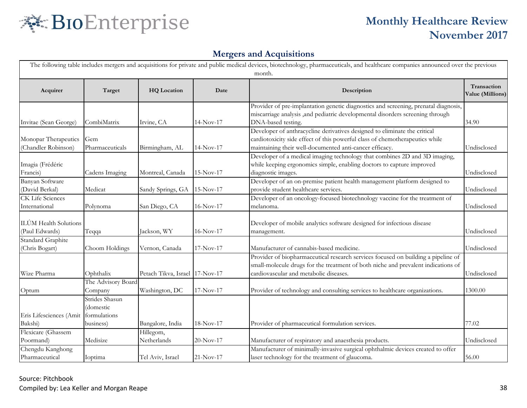

| The following table includes mergers and acquisitions for private and public medical devices, biotechnology, pharmaceuticals, and healthcare companies announced over the previous<br>month. |                                                          |                                |             |                                                                                                                                                                                                                      |                                 |  |  |
|----------------------------------------------------------------------------------------------------------------------------------------------------------------------------------------------|----------------------------------------------------------|--------------------------------|-------------|----------------------------------------------------------------------------------------------------------------------------------------------------------------------------------------------------------------------|---------------------------------|--|--|
| Acquirer                                                                                                                                                                                     | Target                                                   | <b>HQ</b> Location             | Date        | Description                                                                                                                                                                                                          | Transaction<br>Value (Millions) |  |  |
| Invitae (Sean George)                                                                                                                                                                        | CombiMatrix                                              | Irvine, CA                     | $14-Nov-17$ | Provider of pre-implantation genetic diagnostics and screening, prenatal diagnosis,<br>miscarriage analysis ,and pediatric developmental disorders screening through<br>DNA-based testing.                           | 34.90                           |  |  |
| Monopar Therapeutics<br>(Chandler Robinson)                                                                                                                                                  | Gem<br>Pharmaceuticals                                   | Birmingham, AL                 | 14-Nov-17   | Developer of anthracycline derivatives designed to eliminate the critical<br>cardiotoxicity side effect of this powerful class of chemotherapeutics while<br>maintaining their well-documented anti-cancer efficacy. | Undisclosed                     |  |  |
| Imagia (Frédéric<br>Francis)                                                                                                                                                                 | Cadens Imaging                                           | Montreal, Canada               | 15-Nov-17   | Developer of a medical imaging technology that combines 2D and 3D imaging,<br>while keeping ergonomics simple, enabling doctors to capture improved<br>diagnostic images.                                            | Undisclosed                     |  |  |
| Banyan Software<br>(David Berkal)                                                                                                                                                            | Medicat                                                  | Sandy Springs, GA              | 15-Nov-17   | Developer of an on-premise patient health management platform designed to<br>provide student healthcare services.                                                                                                    | Undisclosed                     |  |  |
| <b>CK Life Sciences</b><br>International                                                                                                                                                     | Polynoma                                                 | San Diego, CA                  | $16-Nov-17$ | Developer of an oncology-focused biotechnology vaccine for the treatment of<br>melanoma.                                                                                                                             | Undisclosed                     |  |  |
| ILÚM Health Solutions<br>(Paul Edwards)                                                                                                                                                      | Teqqa                                                    | Jackson, WY                    | 16-Nov-17   | Developer of mobile analytics software designed for infectious disease<br>management.                                                                                                                                | Undisclosed                     |  |  |
| <b>Standard Graphite</b><br>(Chris Bogart)                                                                                                                                                   | Choom Holdings                                           | Vernon, Canada                 | $17-Nov-17$ | Manufacturer of cannabis-based medicine.                                                                                                                                                                             | Undisclosed                     |  |  |
| Wize Pharma                                                                                                                                                                                  | Ophthalix                                                | Petach Tikva, Israel 17-Nov-17 |             | Provider of biopharmaceutical research services focused on building a pipeline of<br>small-molecule drugs for the treatment of both niche and prevalent indications of<br>cardiovascular and metabolic diseases.     | Undisclosed                     |  |  |
| Optum                                                                                                                                                                                        | The Advisory Board<br>Company                            | Washington, DC                 | $17-Nov-17$ | Provider of technology and consulting services to healthcare organizations.                                                                                                                                          | 1300.00                         |  |  |
| Eris Lifesciences (Amit<br>Bakshi)                                                                                                                                                           | Strides Shasun<br>(domestic<br>formulations<br>business) | Bangalore, India               | 18-Nov-17   | Provider of pharmaceutical formulation services.                                                                                                                                                                     | 77.02                           |  |  |
| Flexicare (Ghassem<br>Poormand)                                                                                                                                                              | Medisize                                                 | Hillegom,<br>Netherlands       | $20-Nov-17$ | Manufacturer of respiratory and anaesthesia products.                                                                                                                                                                | Undisclosed                     |  |  |
| Chengdu Kanghong<br>Pharmaceutical                                                                                                                                                           | Ioptima                                                  | Tel Aviv, Israel               | $21-Nov-17$ | Manufacturer of minimally-invasive surgical ophthalmic devices created to offer<br>laser technology for the treatment of glaucoma.                                                                                   | 56.00                           |  |  |